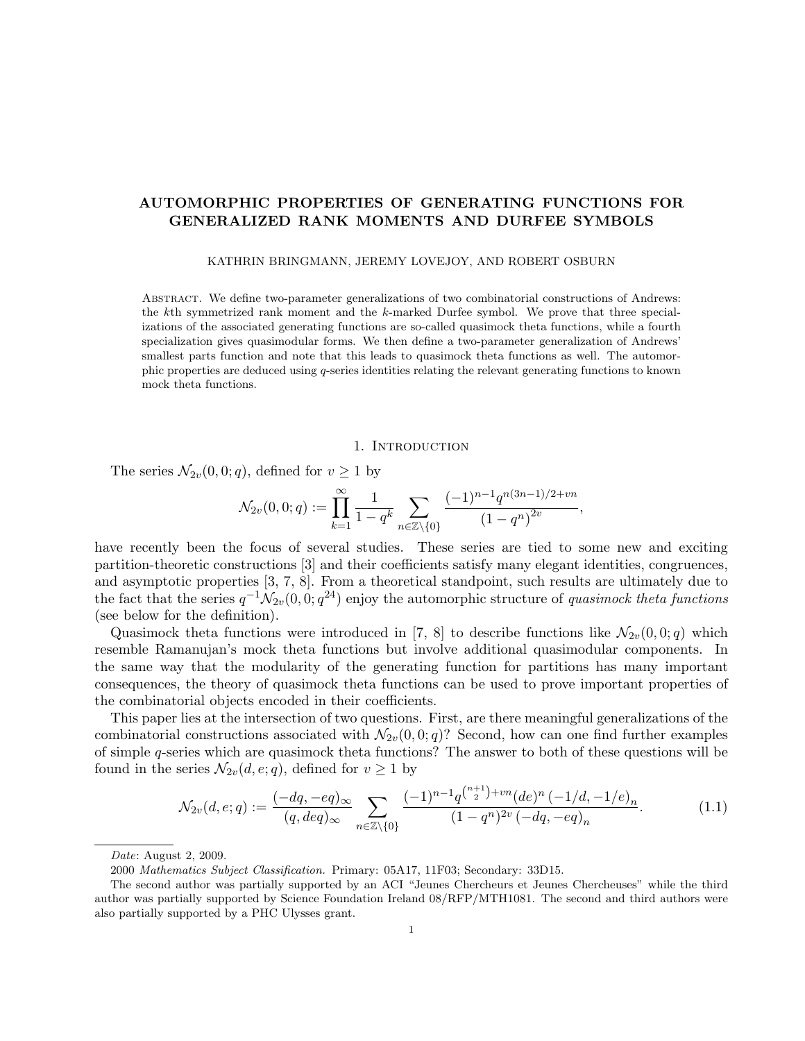# AUTOMORPHIC PROPERTIES OF GENERATING FUNCTIONS FOR GENERALIZED RANK MOMENTS AND DURFEE SYMBOLS

#### KATHRIN BRINGMANN, JEREMY LOVEJOY, AND ROBERT OSBURN

Abstract. We define two-parameter generalizations of two combinatorial constructions of Andrews: the kth symmetrized rank moment and the k-marked Durfee symbol. We prove that three specializations of the associated generating functions are so-called quasimock theta functions, while a fourth specialization gives quasimodular forms. We then define a two-parameter generalization of Andrews' smallest parts function and note that this leads to quasimock theta functions as well. The automorphic properties are deduced using q-series identities relating the relevant generating functions to known mock theta functions.

### 1. INTRODUCTION

The series  $\mathcal{N}_{2v}(0, 0; q)$ , defined for  $v \geq 1$  by

$$
\mathcal{N}_{2v}(0,0;q):=\prod_{k=1}^{\infty}\frac{1}{1-q^k}\sum_{n\in\mathbb{Z}\backslash\{0\}}\frac{(-1)^{n-1}q^{n(3n-1)/2+vn}}{(1-q^n)^{2v}},
$$

have recently been the focus of several studies. These series are tied to some new and exciting partition-theoretic constructions [3] and their coefficients satisfy many elegant identities, congruences, and asymptotic properties [3, 7, 8]. From a theoretical standpoint, such results are ultimately due to the fact that the series  $q^{-1} \dot{N}_{2v}(0,0;q^{24})$  enjoy the automorphic structure of *quasimock theta functions* (see below for the definition).

Quasimock theta functions were introduced in [7, 8] to describe functions like  $\mathcal{N}_{2v}(0,0;q)$  which resemble Ramanujan's mock theta functions but involve additional quasimodular components. In the same way that the modularity of the generating function for partitions has many important consequences, the theory of quasimock theta functions can be used to prove important properties of the combinatorial objects encoded in their coefficients.

This paper lies at the intersection of two questions. First, are there meaningful generalizations of the combinatorial constructions associated with  $\mathcal{N}_{2v}(0,0;q)$ ? Second, how can one find further examples of simple q-series which are quasimock theta functions? The answer to both of these questions will be found in the series  $\mathcal{N}_{2v}(d, e; q)$ , defined for  $v \geq 1$  by

$$
\mathcal{N}_{2v}(d,e;q) := \frac{(-dq, -eq)_{\infty}}{(q, deg)_{\infty}} \sum_{n \in \mathbb{Z} \setminus \{0\}} \frac{(-1)^{n-1} q^{\binom{n+1}{2} + vn} (de)^n (-1/d, -1/e)_n}{(1-q^n)^{2v} (-dq, -eq)_n}.
$$
(1.1)

Date: August 2, 2009.

<sup>2000</sup> Mathematics Subject Classification. Primary: 05A17, 11F03; Secondary: 33D15.

The second author was partially supported by an ACI "Jeunes Chercheurs et Jeunes Chercheuses" while the third author was partially supported by Science Foundation Ireland 08/RFP/MTH1081. The second and third authors were also partially supported by a PHC Ulysses grant.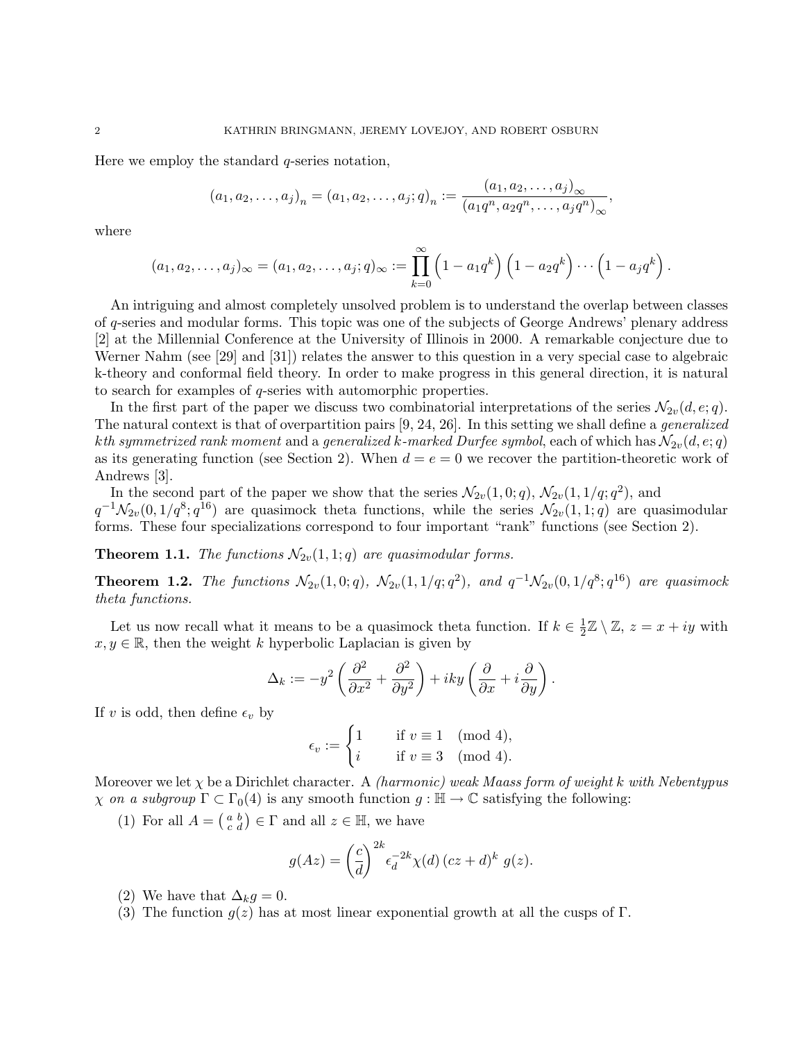Here we employ the standard q-series notation,

$$
(a_1, a_2,..., a_j)_n = (a_1, a_2,..., a_j; q)_n := \frac{(a_1, a_2,..., a_j)_{\infty}}{(a_1 q^n, a_2 q^n,..., a_j q^n)_{\infty}},
$$

where

$$
(a_1, a_2, \ldots, a_j)_{\infty} = (a_1, a_2, \ldots, a_j; q)_{\infty} := \prod_{k=0}^{\infty} (1 - a_1 q^k) \left(1 - a_2 q^k\right) \cdots \left(1 - a_j q^k\right).
$$

An intriguing and almost completely unsolved problem is to understand the overlap between classes of q-series and modular forms. This topic was one of the subjects of George Andrews' plenary address [2] at the Millennial Conference at the University of Illinois in 2000. A remarkable conjecture due to Werner Nahm (see [29] and [31]) relates the answer to this question in a very special case to algebraic k-theory and conformal field theory. In order to make progress in this general direction, it is natural to search for examples of q-series with automorphic properties.

In the first part of the paper we discuss two combinatorial interpretations of the series  $\mathcal{N}_{2v}(d, e; q)$ . The natural context is that of overpartition pairs [9, 24, 26]. In this setting we shall define a generalized kth symmetrized rank moment and a generalized k-marked Durfee symbol, each of which has  $\mathcal{N}_{2v}(d, e; q)$ as its generating function (see Section 2). When  $d = e = 0$  we recover the partition-theoretic work of Andrews [3].

In the second part of the paper we show that the series  $\mathcal{N}_{2v}(1,0;q)$ ,  $\mathcal{N}_{2v}(1,1/q;q^2)$ , and  $q^{-1}\mathcal{N}_{2v}(0,1/q^8;q^{16})$  are quasimock theta functions, while the series  $\mathcal{N}_{2v}(1,1;q)$  are quasimodular forms. These four specializations correspond to four important "rank" functions (see Section 2).

**Theorem 1.1.** The functions  $\mathcal{N}_{2v}(1, 1; q)$  are quasimodular forms.

**Theorem 1.2.** The functions  $\mathcal{N}_{2v}(1,0;q)$ ,  $\mathcal{N}_{2v}(1,1/q;q^2)$ , and  $q^{-1}\mathcal{N}_{2v}(0,1/q^8;q^{16})$  are quasimock theta functions.

Let us now recall what it means to be a quasimock theta function. If  $k \in \frac{1}{2}$  $\frac{1}{2}\mathbb{Z}\setminus\mathbb{Z}, z=x+iy$  with  $x, y \in \mathbb{R}$ , then the weight k hyperbolic Laplacian is given by

$$
\Delta_k := -y^2 \left( \frac{\partial^2}{\partial x^2} + \frac{\partial^2}{\partial y^2} \right) + iky \left( \frac{\partial}{\partial x} + i \frac{\partial}{\partial y} \right).
$$

If v is odd, then define  $\epsilon_v$  by

$$
\epsilon_v := \begin{cases} 1 & \text{if } v \equiv 1 \pmod{4}, \\ i & \text{if } v \equiv 3 \pmod{4}. \end{cases}
$$

Moreover we let  $\chi$  be a Dirichlet character. A *(harmonic)* weak Maass form of weight k with Nebentypus  $\chi$  on a subgroup  $\Gamma \subset \Gamma_0(4)$  is any smooth function  $g : \mathbb{H} \to \mathbb{C}$  satisfying the following:

(1) For all  $A = \begin{pmatrix} a & b \\ c & d \end{pmatrix} \in \Gamma$  and all  $z \in \mathbb{H}$ , we have

$$
g(Az) = \left(\frac{c}{d}\right)^{2k} \epsilon_d^{-2k} \chi(d) \left( cz + d \right)^k g(z).
$$

- (2) We have that  $\Delta_k g = 0$ .
- (3) The function  $q(z)$  has at most linear exponential growth at all the cusps of Γ.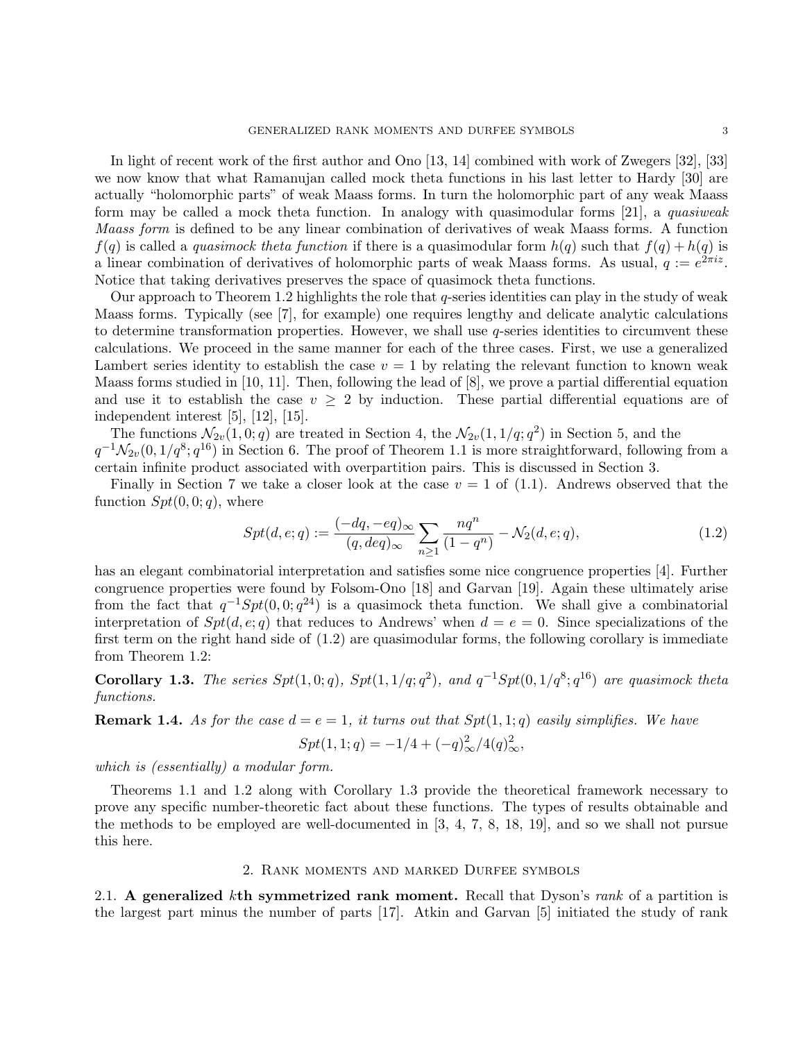In light of recent work of the first author and Ono [13, 14] combined with work of Zwegers [32], [33] we now know that what Ramanujan called mock theta functions in his last letter to Hardy [30] are actually "holomorphic parts" of weak Maass forms. In turn the holomorphic part of any weak Maass form may be called a mock theta function. In analogy with quasimodular forms [21], a quasiweak Maass form is defined to be any linear combination of derivatives of weak Maass forms. A function  $f(q)$  is called a *quasimock theta function* if there is a quasimodular form  $h(q)$  such that  $f(q) + h(q)$  is a linear combination of derivatives of holomorphic parts of weak Maass forms. As usual,  $q := e^{2\pi i z}$ . Notice that taking derivatives preserves the space of quasimock theta functions.

Our approach to Theorem 1.2 highlights the role that q-series identities can play in the study of weak Maass forms. Typically (see [7], for example) one requires lengthy and delicate analytic calculations to determine transformation properties. However, we shall use  $q$ -series identities to circumvent these calculations. We proceed in the same manner for each of the three cases. First, we use a generalized Lambert series identity to establish the case  $v = 1$  by relating the relevant function to known weak Maass forms studied in [10, 11]. Then, following the lead of [8], we prove a partial differential equation and use it to establish the case  $v \geq 2$  by induction. These partial differential equations are of independent interest [5], [12], [15].

The functions  $\mathcal{N}_{2v}(1,0;q)$  are treated in Section 4, the  $\mathcal{N}_{2v}(1,1/q;q^2)$  in Section 5, and the  $q^{-1}\mathcal{N}_{2v}(0,1/q^8;q^{16})$  in Section 6. The proof of Theorem 1.1 is more straightforward, following from a certain infinite product associated with overpartition pairs. This is discussed in Section 3.

Finally in Section 7 we take a closer look at the case  $v = 1$  of (1.1). Andrews observed that the function  $Spt(0, 0; q)$ , where

$$
Spt(d, e; q) := \frac{(-dq, -eq)_{\infty}}{(q, deq)_{\infty}} \sum_{n \ge 1} \frac{nq^n}{(1 - q^n)} - \mathcal{N}_2(d, e; q), \tag{1.2}
$$

has an elegant combinatorial interpretation and satisfies some nice congruence properties [4]. Further congruence properties were found by Folsom-Ono [18] and Garvan [19]. Again these ultimately arise from the fact that  $q^{-1}Spt(0,0;q^{24})$  is a quasimock theta function. We shall give a combinatorial interpretation of  $Spt(d, e; q)$  that reduces to Andrews' when  $d = e = 0$ . Since specializations of the first term on the right hand side of  $(1.2)$  are quasimodular forms, the following corollary is immediate from Theorem 1.2:

**Corollary 1.3.** The series  $Spt(1,0;q)$ ,  $Spt(1,1/q;q^2)$ , and  $q^{-1}Spt(0,1/q^8;q^{16})$  are quasimock theta functions.

**Remark 1.4.** As for the case  $d = e = 1$ , it turns out that  $Spt(1, 1; q)$  easily simplifies. We have

$$
Spt(1,1;q) = -1/4 + (-q)_{\infty}^{2}/4(q)_{\infty}^{2},
$$

which is (essentially) a modular form.

Theorems 1.1 and 1.2 along with Corollary 1.3 provide the theoretical framework necessary to prove any specific number-theoretic fact about these functions. The types of results obtainable and the methods to be employed are well-documented in [3, 4, 7, 8, 18, 19], and so we shall not pursue this here.

#### 2. Rank moments and marked Durfee symbols

2.1. A generalized kth symmetrized rank moment. Recall that Dyson's rank of a partition is the largest part minus the number of parts [17]. Atkin and Garvan [5] initiated the study of rank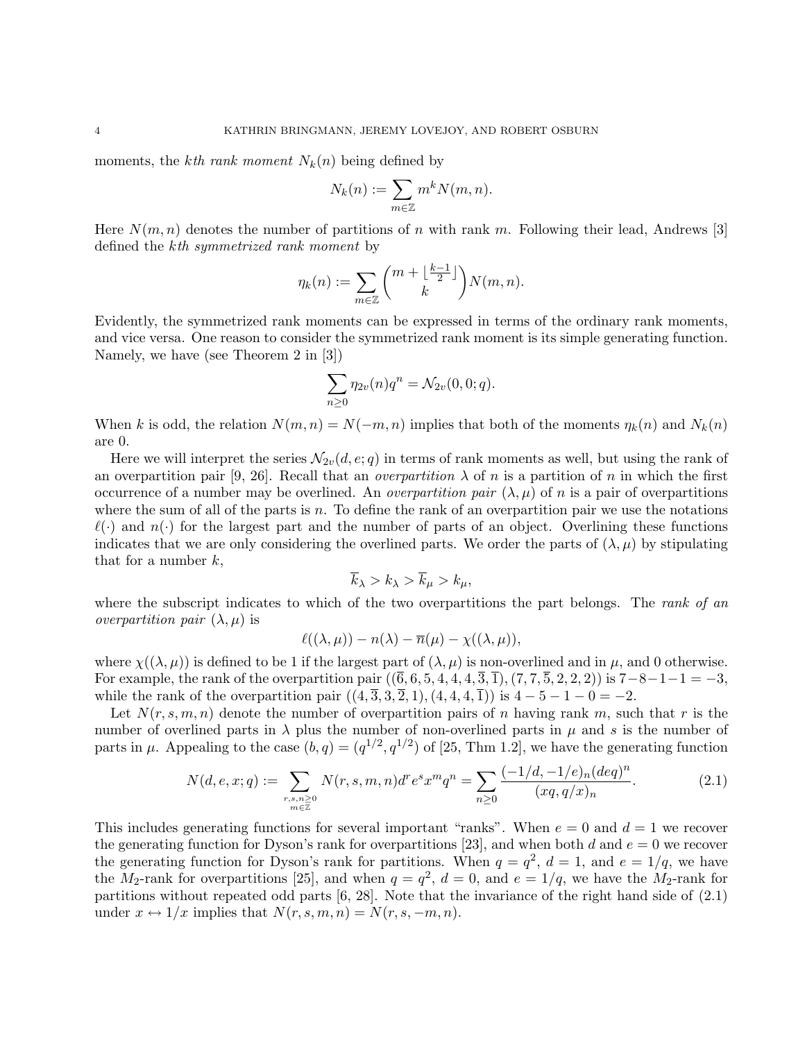moments, the kth rank moment  $N_k(n)$  being defined by

$$
N_k(n) := \sum_{m \in \mathbb{Z}} m^k N(m, n).
$$

Here  $N(m, n)$  denotes the number of partitions of n with rank m. Following their lead, Andrews [3] defined the kth symmetrized rank moment by

$$
\eta_k(n) := \sum_{m \in \mathbb{Z}} \binom{m + \lfloor \frac{k-1}{2} \rfloor}{k} N(m, n).
$$

Evidently, the symmetrized rank moments can be expressed in terms of the ordinary rank moments, and vice versa. One reason to consider the symmetrized rank moment is its simple generating function. Namely, we have (see Theorem 2 in [3])

$$
\sum_{n\geq 0} \eta_{2v}(n)q^n = \mathcal{N}_{2v}(0,0;q).
$$

When k is odd, the relation  $N(m, n) = N(-m, n)$  implies that both of the moments  $\eta_k(n)$  and  $N_k(n)$ are 0.

Here we will interpret the series  $\mathcal{N}_{2v}(d, e; q)$  in terms of rank moments as well, but using the rank of an overpartition pair [9, 26]. Recall that an *overpartition*  $\lambda$  of n is a partition of n in which the first occurrence of a number may be overlined. An *overpartition pair*  $(\lambda, \mu)$  of n is a pair of overpartitions where the sum of all of the parts is  $n$ . To define the rank of an overpartition pair we use the notations  $\ell(\cdot)$  and  $n(\cdot)$  for the largest part and the number of parts of an object. Overlining these functions indicates that we are only considering the overlined parts. We order the parts of  $(\lambda, \mu)$  by stipulating that for a number  $k$ ,

$$
\overline{k}_{\lambda} > k_{\lambda} > \overline{k}_{\mu} > k_{\mu},
$$

where the subscript indicates to which of the two overpartitions the part belongs. The rank of an *overpartition pair*  $(\lambda, \mu)$  is

$$
\ell((\lambda,\mu)) - n(\lambda) - \overline{n}(\mu) - \chi((\lambda,\mu)),
$$

where  $\chi((\lambda, \mu))$  is defined to be 1 if the largest part of  $(\lambda, \mu)$  is non-overlined and in  $\mu$ , and 0 otherwise. For example, the rank of the overpartition pair  $((\bar{6}, 6, 5, 4, 4, 4, \bar{3}, \bar{1}), (7, 7, \bar{5}, 2, 2, 2))$  is  $7-8-1-1=-3$ , while the rank of the overpartition pair  $((4, \overline{3}, 3, \overline{2}, 1), (4, 4, 4, \overline{1}))$  is  $4 - 5 - 1 - 0 = -2$ .

Let  $N(r, s, m, n)$  denote the number of overpartition pairs of n having rank m, such that r is the number of overlined parts in  $\lambda$  plus the number of non-overlined parts in  $\mu$  and s is the number of parts in  $\mu$ . Appealing to the case  $(b, q) = (q^{1/2}, q^{1/2})$  of [25, Thm 1.2], we have the generating function

$$
N(d, e, x; q) := \sum_{\substack{r, s, n \ge 0 \\ m \in \mathbb{Z}}} N(r, s, m, n) d^r e^s x^m q^n = \sum_{n \ge 0} \frac{(-1/d, -1/e)_n (deq)^n}{(xq, q/x)_n}.
$$
 (2.1)

This includes generating functions for several important "ranks". When  $e = 0$  and  $d = 1$  we recover the generating function for Dyson's rank for overpartitions [23], and when both d and  $e = 0$  we recover the generating function for Dyson's rank for partitions. When  $q = q^2$ ,  $d = 1$ , and  $e = 1/q$ , we have the M<sub>2</sub>-rank for overpartitions [25], and when  $q = q^2$ ,  $d = 0$ , and  $e = 1/q$ , we have the M<sub>2</sub>-rank for partitions without repeated odd parts [6, 28]. Note that the invariance of the right hand side of (2.1) under  $x \leftrightarrow 1/x$  implies that  $N(r, s, m, n) = N(r, s, -m, n)$ .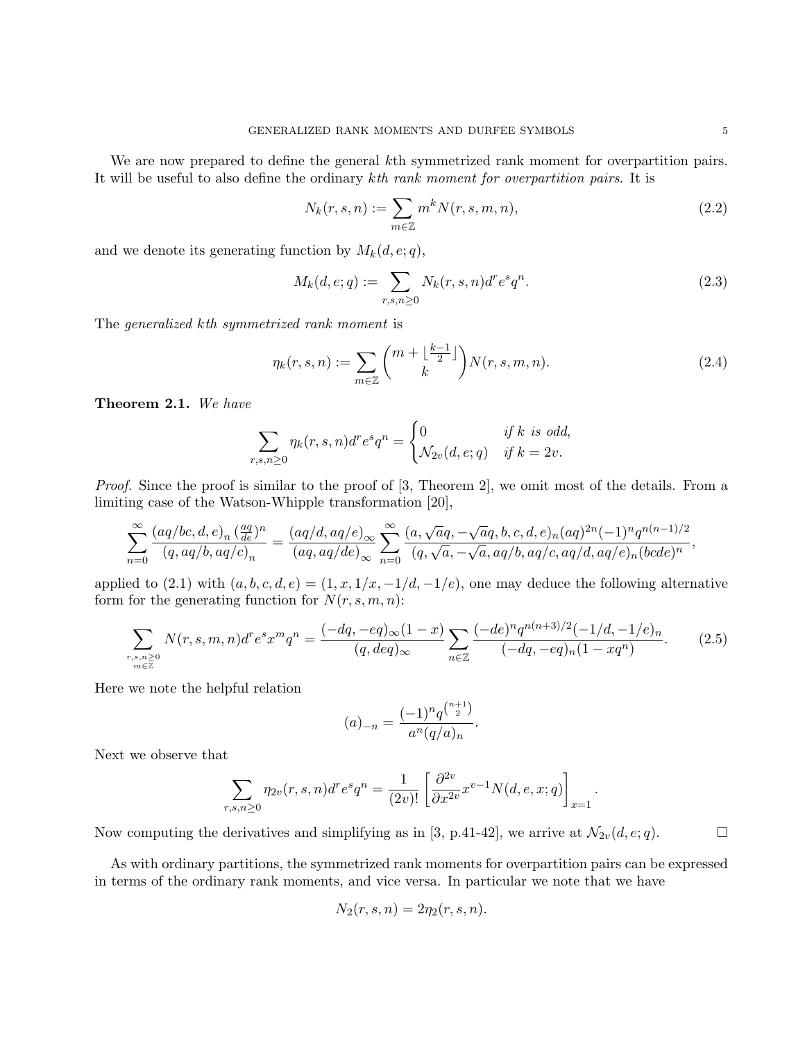We are now prepared to define the general kth symmetrized rank moment for overpartition pairs. It will be useful to also define the ordinary kth rank moment for overpartition pairs. It is

$$
N_k(r,s,n) := \sum_{m \in \mathbb{Z}} m^k N(r,s,m,n),\tag{2.2}
$$

and we denote its generating function by  $M_k(d, e; q)$ ,

$$
M_k(d, e; q) := \sum_{r, s, n \ge 0} N_k(r, s, n) d^r e^s q^n.
$$
 (2.3)

The generalized kth symmetrized rank moment is

$$
\eta_k(r,s,n) := \sum_{m \in \mathbb{Z}} \binom{m + \lfloor \frac{k-1}{2} \rfloor}{k} N(r,s,m,n). \tag{2.4}
$$

Theorem 2.1. We have

$$
\sum_{r,s,n\geq 0} \eta_k(r,s,n)d^re^sq^n = \begin{cases} 0 & \text{if } k \text{ is odd,} \\ \mathcal{N}_{2v}(d,e;q) & \text{if } k=2v. \end{cases}
$$

Proof. Since the proof is similar to the proof of [3, Theorem 2], we omit most of the details. From a limiting case of the Watson-Whipple transformation [20],

$$
\sum_{n=0}^{\infty} \frac{(aq/bc,d,e)_n \left(\frac{aq}{de}\right)^n}{(q,aq/b,aq/c)_n} = \frac{(aq/d,aq/e)_{\infty}}{(aq,aq/de)_{\infty}} \sum_{n=0}^{\infty} \frac{(a,\sqrt{a}q,-\sqrt{a}q,b,c,d,e)_n (aq)^{2n}(-1)^n q^{n(n-1)/2}}{(q,\sqrt{a},-\sqrt{a},aq/b,aq/c,aq/d,aq/e)_n (bcde)^n},
$$

applied to (2.1) with  $(a, b, c, d, e) = (1, x, 1/x, -1/d, -1/e)$ , one may deduce the following alternative form for the generating function for  $N(r, s, m, n)$ :

$$
\sum_{\substack{r,s,n \geq 0 \\ m \in \mathbb{Z}}} N(r,s,m,n) d^r e^s x^m q^n = \frac{(-dq, -eq)_{\infty} (1-x)}{(q, deg)_{\infty}} \sum_{n \in \mathbb{Z}} \frac{(-de)^n q^{n(n+3)/2} (-1/d, -1/e)_n}{(-dq, -eq)_n (1-xq^n)}.
$$
(2.5)

Here we note the helpful relation

$$
(a)_{-n} = \frac{(-1)^n q^{\binom{n+1}{2}}}{a^n (q/a)_n}.
$$

Next we observe that

$$
\sum_{r,s,n\geq 0} \eta_{2v}(r,s,n)d^r e^s q^n = \frac{1}{(2v)!} \left[ \frac{\partial^{2v}}{\partial x^{2v}} x^{v-1} N(d,e,x;q) \right]_{x=1}.
$$

Now computing the derivatives and simplifying as in [3, p.41-42], we arrive at  $\mathcal{N}_{2v}(d, e; q)$ .

As with ordinary partitions, the symmetrized rank moments for overpartition pairs can be expressed in terms of the ordinary rank moments, and vice versa. In particular we note that we have

$$
N_2(r,s,n) = 2\eta_2(r,s,n).
$$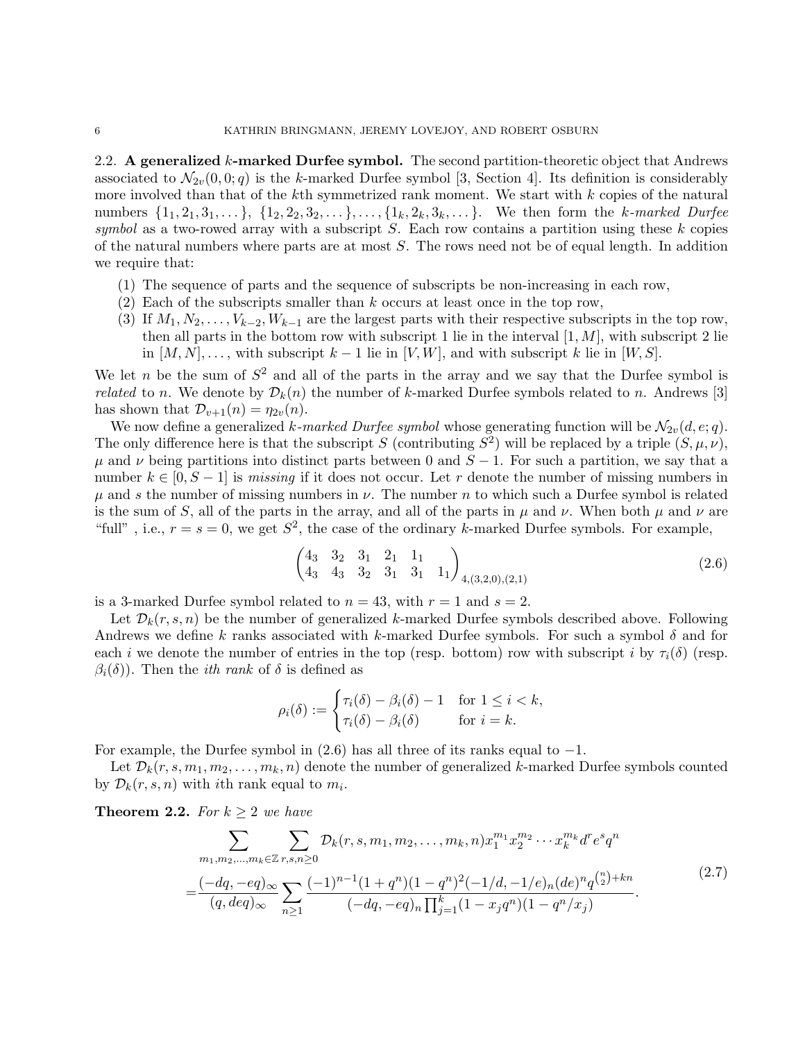2.2. A generalized k-marked Durfee symbol. The second partition-theoretic object that Andrews associated to  $\mathcal{N}_{2v}(0,0;q)$  is the k-marked Durfee symbol [3, Section 4]. Its definition is considerably more involved than that of the  $k$ th symmetrized rank moment. We start with  $k$  copies of the natural numbers  $\{1_1, 2_1, 3_1, \ldots\}$ ,  $\{1_2, 2_2, 3_2, \ldots\}$ ,  $\{1_k, 2_k, 3_k, \ldots\}$ . We then form the k-marked Durfee symbol as a two-rowed array with a subscript S. Each row contains a partition using these  $k$  copies of the natural numbers where parts are at most S. The rows need not be of equal length. In addition we require that:

- (1) The sequence of parts and the sequence of subscripts be non-increasing in each row,
- (2) Each of the subscripts smaller than  $k$  occurs at least once in the top row,
- (3) If  $M_1, N_2, \ldots, V_{k-2}, W_{k-1}$  are the largest parts with their respective subscripts in the top row, then all parts in the bottom row with subscript 1 lie in the interval  $[1, M]$ , with subscript 2 lie in  $[M, N], \ldots$ , with subscript  $k-1$  lie in  $[V, W]$ , and with subscript k lie in  $[W, S]$ .

We let n be the sum of  $S^2$  and all of the parts in the array and we say that the Durfee symbol is *related* to n. We denote by  $\mathcal{D}_k(n)$  the number of k-marked Durfee symbols related to n. Andrews [3] has shown that  $\mathcal{D}_{v+1}(n) = \eta_{2v}(n)$ .

We now define a generalized k-marked Durfee symbol whose generating function will be  $\mathcal{N}_{2v}(d, e; q)$ . The only difference here is that the subscript S (contributing  $S^2$ ) will be replaced by a triple  $(S, \mu, \nu)$ ,  $\mu$  and  $\nu$  being partitions into distinct parts between 0 and  $S - 1$ . For such a partition, we say that a number  $k \in [0, S-1]$  is missing if it does not occur. Let r denote the number of missing numbers in  $\mu$  and s the number of missing numbers in  $\nu$ . The number n to which such a Durfee symbol is related is the sum of S, all of the parts in the array, and all of the parts in  $\mu$  and  $\nu$ . When both  $\mu$  and  $\nu$  are "full", i.e.,  $r = s = 0$ , we get  $S^2$ , the case of the ordinary k-marked Durfee symbols. For example,

$$
\begin{pmatrix} 4_3 & 3_2 & 3_1 & 2_1 & 1_1 \ 4_3 & 4_3 & 3_2 & 3_1 & 3_1 & 1_1 \end{pmatrix}_{4,(3,2,0),(2,1)}
$$
(2.6)

is a 3-marked Durfee symbol related to  $n = 43$ , with  $r = 1$  and  $s = 2$ .

Let  $\mathcal{D}_k(r, s, n)$  be the number of generalized k-marked Durfee symbols described above. Following Andrews we define k ranks associated with k-marked Durfee symbols. For such a symbol  $\delta$  and for each i we denote the number of entries in the top (resp. bottom) row with subscript i by  $\tau_i(\delta)$  (resp.  $\beta_i(\delta)$ ). Then the *ith rank* of  $\delta$  is defined as

$$
\rho_i(\delta) := \begin{cases} \tau_i(\delta) - \beta_i(\delta) - 1 & \text{for } 1 \leq i < k, \\ \tau_i(\delta) - \beta_i(\delta) & \text{for } i = k. \end{cases}
$$

For example, the Durfee symbol in  $(2.6)$  has all three of its ranks equal to  $-1$ .

Let  $\mathcal{D}_k(r, s, m_1, m_2, \ldots, m_k, n)$  denote the number of generalized k-marked Durfee symbols counted by  $\mathcal{D}_k(r,s,n)$  with *i*th rank equal to  $m_i$ .

**Theorem 2.2.** For  $k \geq 2$  we have

$$
\sum_{m_1, m_2, \dots, m_k \in \mathbb{Z}} \sum_{r, s, n \ge 0} \mathcal{D}_k(r, s, m_1, m_2, \dots, m_k, n) x_1^{m_1} x_2^{m_2} \cdots x_k^{m_k} d^r e^s q^n
$$
\n
$$
= \frac{(-dq, -eq)_{\infty}}{(q, deg)_{\infty}} \sum_{n \ge 1} \frac{(-1)^{n-1} (1+q^n)(1-q^n)^2 (-1/d, -1/e)_n (de)^n q^{\binom{n}{2} + kn}}{(-dq, -eq)_n \prod_{j=1}^k (1-x_j q^n)(1-q^n/x_j)}.
$$
\n(2.7)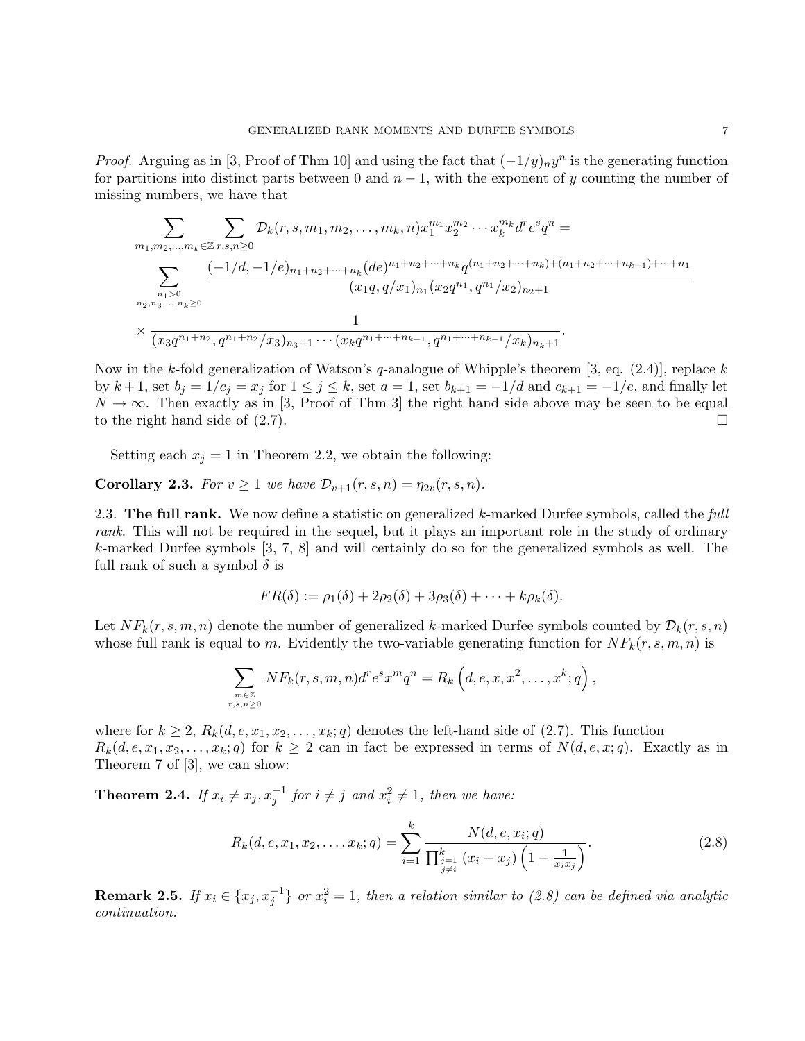*Proof.* Arguing as in [3, Proof of Thm 10] and using the fact that  $(-1/y)_n y^n$  is the generating function for partitions into distinct parts between 0 and  $n-1$ , with the exponent of y counting the number of missing numbers, we have that

$$
\sum_{m_1,m_2,\ldots,m_k \in \mathbb{Z}} \sum_{r,s,n \geq 0} \mathcal{D}_k(r,s,m_1,m_2,\ldots,m_k,n) x_1^{m_1} x_2^{m_2} \cdots x_k^{m_k} d^r e^s q^n =
$$
\n
$$
\sum_{\substack{n_1 > 0 \\ n_2,n_3,\ldots,n_k \geq 0}} \frac{(-1/d,-1/e)_{n_1+n_2+\cdots+n_k} (de)^{n_1+n_2+\cdots+n_k} q^{(n_1+n_2+\cdots+n_k)+(n_1+n_2+\cdots+n_{k-1})+\cdots+n_1}}{(x_1q,q/x_1)_{n_1} (x_2q^{n_1},q^{n_1}/x_2)_{n_2+1}}
$$
\n
$$
\times \frac{1}{(x_3q^{n_1+n_2},q^{n_1+n_2}/x_3)_{n_3+1}\cdots (x_kq^{n_1+\cdots+n_{k-1}},q^{n_1+\cdots+n_{k-1}}/x_k)_{n_k+1}}.
$$

Now in the k-fold generalization of Watson's q-analogue of Whipple's theorem [3, eq.  $(2.4)$ ], replace k by  $k+1$ , set  $b_j = 1/c_j = x_j$  for  $1 \le j \le k$ , set  $a = 1$ , set  $b_{k+1} = -1/d$  and  $c_{k+1} = -1/e$ , and finally let  $N \to \infty$ . Then exactly as in [3, Proof of Thm 3] the right hand side above may be seen to be equal to the right hand side of  $(2.7)$ .

Setting each  $x_j = 1$  in Theorem 2.2, we obtain the following:

**Corollary 2.3.** For  $v \ge 1$  we have  $\mathcal{D}_{v+1}(r,s,n) = \eta_{2v}(r,s,n)$ .

2.3. The full rank. We now define a statistic on generalized  $k$ -marked Durfee symbols, called the full rank. This will not be required in the sequel, but it plays an important role in the study of ordinary k-marked Durfee symbols [3, 7, 8] and will certainly do so for the generalized symbols as well. The full rank of such a symbol  $\delta$  is

$$
FR(\delta) := \rho_1(\delta) + 2\rho_2(\delta) + 3\rho_3(\delta) + \cdots + k\rho_k(\delta).
$$

Let  $NF_k(r, s, m, n)$  denote the number of generalized k-marked Durfee symbols counted by  $\mathcal{D}_k(r, s, n)$ whose full rank is equal to m. Evidently the two-variable generating function for  $NF_k(r, s, m, n)$  is

$$
\sum_{\substack{m\in\mathbb{Z}\\r,s,n\geq 0}} NF_k(r,s,m,n)d^re^sx^mq^n = R_k\left(d,e,x,x^2,\ldots,x^k;q\right),
$$

where for  $k \geq 2$ ,  $R_k(d, e, x_1, x_2, \ldots, x_k; q)$  denotes the left-hand side of (2.7). This function  $R_k(d, e, x_1, x_2, \ldots, x_k; q)$  for  $k \geq 2$  can in fact be expressed in terms of  $N(d, e, x; q)$ . Exactly as in Theorem 7 of [3], we can show:

**Theorem 2.4.** If  $x_i \neq x_j, x_j^{-1}$  for  $i \neq j$  and  $x_i^2 \neq 1$ , then we have:

$$
R_k(d, e, x_1, x_2, \dots, x_k; q) = \sum_{i=1}^k \frac{N(d, e, x_i; q)}{\prod_{\substack{j=1 \ j \neq i}}^k (x_i - x_j) \left(1 - \frac{1}{x_i x_j}\right)}.
$$
\n(2.8)

**Remark 2.5.** If  $x_i \in \{x_j, x_j^{-1}\}$  or  $x_i^2 = 1$ , then a relation similar to (2.8) can be defined via analytic continuation.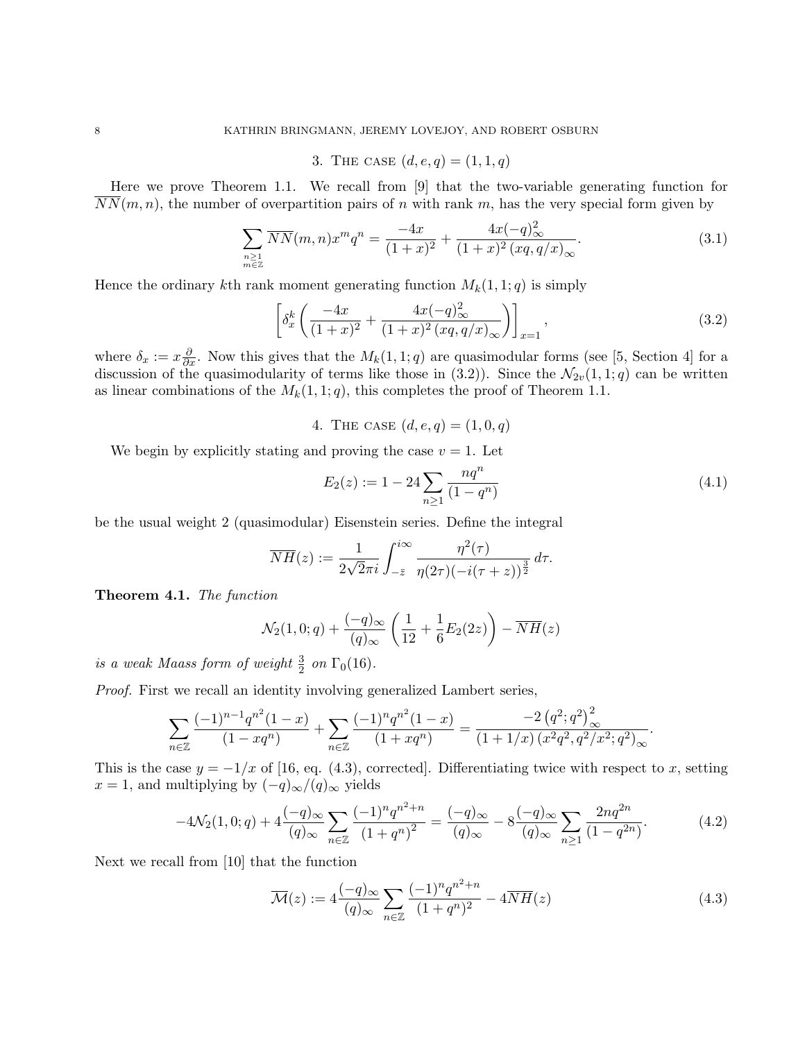# 3. THE CASE  $(d, e, q) = (1, 1, q)$

Here we prove Theorem 1.1. We recall from [9] that the two-variable generating function for  $NN(m, n)$ , the number of overpartition pairs of n with rank m, has the very special form given by

$$
\sum_{\substack{n\geq 1\\ m\in \mathbb{Z}}} \overline{NN}(m,n)x^m q^n = \frac{-4x}{(1+x)^2} + \frac{4x(-q)_{\infty}^2}{(1+x)^2 (xq,q/x)_{\infty}}.
$$
\n(3.1)

Hence the ordinary kth rank moment generating function  $M_k(1, 1; q)$  is simply

$$
\[ \delta_x^k \left( \frac{-4x}{(1+x)^2} + \frac{4x(-q)_{\infty}^2}{(1+x)^2 (xq, q/x)_{\infty}} \right) \Big]_{x=1}, \tag{3.2}
$$

where  $\delta_x := x \frac{\partial}{\partial x}$ . Now this gives that the  $M_k(1, 1; q)$  are quasimodular forms (see [5, Section 4] for a discussion of the quasimodularity of terms like those in (3.2)). Since the  $\mathcal{N}_{2v}(1,1;q)$  can be written as linear combinations of the  $M_k(1, 1; q)$ , this completes the proof of Theorem 1.1.

4. THE CASE  $(d, e, q) = (1, 0, q)$ 

We begin by explicitly stating and proving the case  $v = 1$ . Let

$$
E_2(z) := 1 - 24 \sum_{n \ge 1} \frac{nq^n}{(1 - q^n)}
$$
\n(4.1)

be the usual weight 2 (quasimodular) Eisenstein series. Define the integral

$$
\overline{NH}(z) := \frac{1}{2\sqrt{2}\pi i} \int_{-\overline{z}}^{i\infty} \frac{\eta^2(\tau)}{\eta(2\tau)(-i(\tau+z))^{\frac{3}{2}}} d\tau.
$$

Theorem 4.1. The function

$$
\mathcal{N}_2(1,0;q) + \frac{(-q)_{\infty}}{(q)_{\infty}} \left( \frac{1}{12} + \frac{1}{6} E_2(2z) \right) - \overline{NH}(z)
$$

is a weak Maass form of weight  $\frac{3}{2}$  on  $\Gamma_0(16)$ .

Proof. First we recall an identity involving generalized Lambert series,

$$
\sum_{n\in\mathbb{Z}}\frac{(-1)^{n-1}q^{n^2}(1-x)}{(1-xq^n)}+\sum_{n\in\mathbb{Z}}\frac{(-1)^nq^{n^2}(1-x)}{(1+xq^n)}=\frac{-2\left(q^2;q^2\right)^2_{\infty}}{(1+1/x)\left(x^2q^2,q^2/x^2;q^2\right)_{\infty}}.
$$

This is the case  $y = -1/x$  of [16, eq. (4.3), corrected]. Differentiating twice with respect to x, setting  $x = 1$ , and multiplying by  $(-q)_{\infty}/(q)_{\infty}$  yields

$$
-4\mathcal{N}_2(1,0;q) + 4\frac{(-q)_{\infty}}{(q)_{\infty}} \sum_{n \in \mathbb{Z}} \frac{(-1)^n q^{n^2 + n}}{(1 + q^n)^2} = \frac{(-q)_{\infty}}{(q)_{\infty}} - 8\frac{(-q)_{\infty}}{(q)_{\infty}} \sum_{n \ge 1} \frac{2nq^{2n}}{(1 - q^{2n})}.
$$
 (4.2)

Next we recall from [10] that the function

$$
\overline{\mathcal{M}}(z) := 4 \frac{(-q)_{\infty}}{(q)_{\infty}} \sum_{n \in \mathbb{Z}} \frac{(-1)^n q^{n^2 + n}}{(1 + q^n)^2} - 4 \overline{N} \overline{H}(z)
$$
\n(4.3)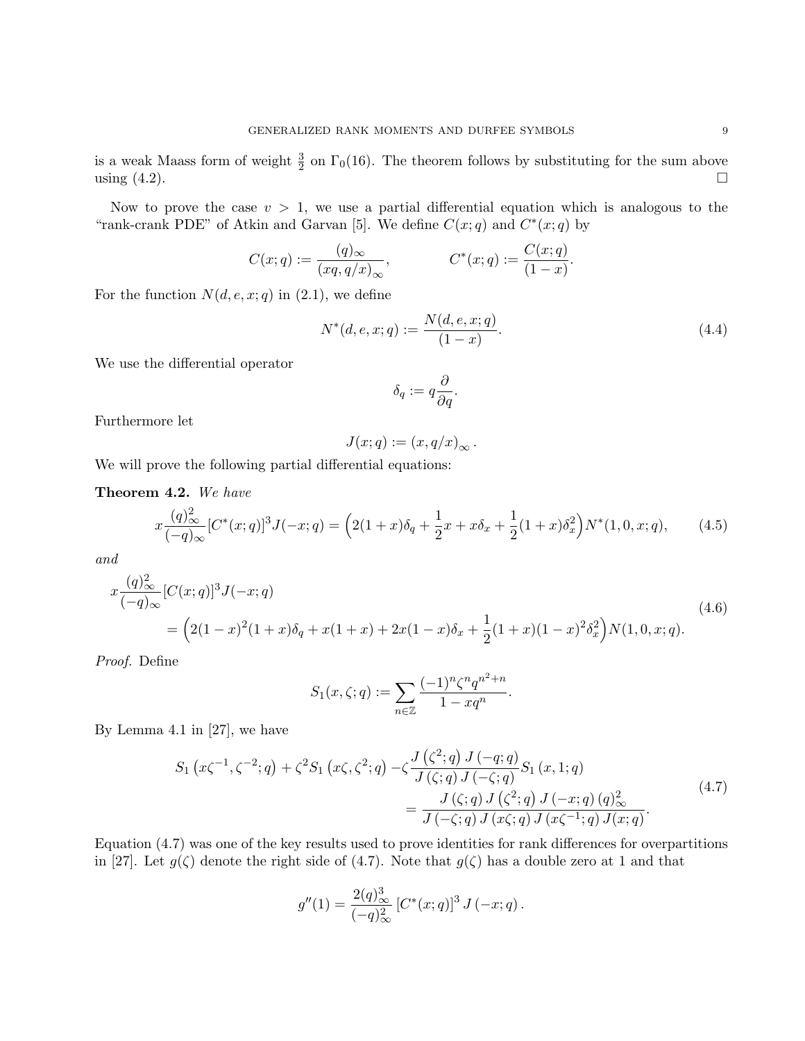is a weak Maass form of weight  $\frac{3}{2}$  on  $\Gamma_0(16)$ . The theorem follows by substituting for the sum above using  $(4.2)$ .

Now to prove the case  $v > 1$ , we use a partial differential equation which is analogous to the "rank-crank PDE" of Atkin and Garvan [5]. We define  $C(x;q)$  and  $C^*(x;q)$  by

$$
C(x; q) := \frac{(q)_{\infty}}{(xq, q/x)_{\infty}},
$$
  $C^*(x; q) := \frac{C(x; q)}{(1-x)}.$ 

For the function  $N(d, e, x; q)$  in  $(2.1)$ , we define

$$
N^*(d, e, x; q) := \frac{N(d, e, x; q)}{(1 - x)}.
$$
\n(4.4)

We use the differential operator

$$
\delta_q:=q\frac{\partial}{\partial q}.
$$

Furthermore let

$$
J(x;q) := (x,q/x)_{\infty}.
$$

We will prove the following partial differential equations:

Theorem 4.2. We have

$$
x\frac{(q)_{\infty}^2}{(-q)_{\infty}}[C^*(x;q)]^3J(-x;q) = \left(2(1+x)\delta_q + \frac{1}{2}x + x\delta_x + \frac{1}{2}(1+x)\delta_x^2\right)N^*(1,0,x;q),\tag{4.5}
$$

and

$$
x \frac{(q)_{\infty}^2}{(-q)_{\infty}} [C(x;q)]^3 J(-x;q)
$$
  
=  $\left(2(1-x)^2(1+x)\delta_q + x(1+x) + 2x(1-x)\delta_x + \frac{1}{2}(1+x)(1-x)^2\delta_x^2\right) N(1,0,x;q).$  (4.6)

Proof. Define

$$
S_1(x,\zeta;q) := \sum_{n \in \mathbb{Z}} \frac{(-1)^n \zeta^n q^{n^2 + n}}{1 - xq^n}
$$

By Lemma 4.1 in [27], we have

$$
S_1(x\zeta^{-1}, \zeta^{-2}; q) + \zeta^2 S_1(x\zeta, \zeta^2; q) - \zeta \frac{J(\zeta^2; q) J(-q; q)}{J(\zeta; q) J(-\zeta; q)} S_1(x, 1; q)
$$
  
= 
$$
\frac{J(\zeta; q) J(\zeta^2; q) J(-x; q) (q)_{\infty}^2}{J(-\zeta; q) J(x\zeta; q) J(x\zeta^{-1}; q) J(x; q)}.
$$
(4.7)

.

Equation (4.7) was one of the key results used to prove identities for rank differences for overpartitions in [27]. Let  $g(\zeta)$  denote the right side of (4.7). Note that  $g(\zeta)$  has a double zero at 1 and that

$$
g''(1) = \frac{2(q)_{\infty}^3}{(-q)_{\infty}^2} \left[ C^*(x;q) \right]^3 J(-x;q).
$$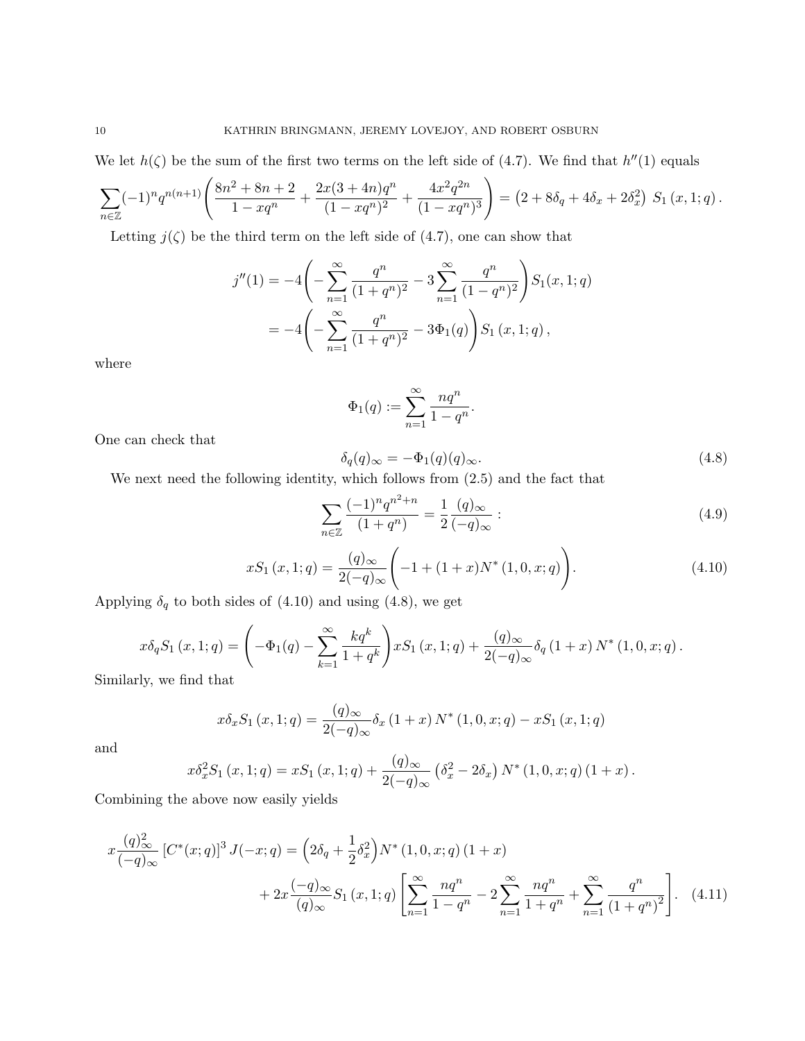We let  $h(\zeta)$  be the sum of the first two terms on the left side of (4.7). We find that  $h''(1)$  equals

$$
\sum_{n\in\mathbb{Z}} (-1)^n q^{n(n+1)} \left( \frac{8n^2 + 8n + 2}{1 - xq^n} + \frac{2x(3+4n)q^n}{(1 - xq^n)^2} + \frac{4x^2 q^{2n}}{(1 - xq^n)^3} \right) = \left( 2 + 8\delta_q + 4\delta_x + 2\delta_x^2 \right) S_1(x, 1; q).
$$

Letting  $j(\zeta)$  be the third term on the left side of (4.7), one can show that

$$
j''(1) = -4\left(-\sum_{n=1}^{\infty} \frac{q^n}{(1+q^n)^2} - 3\sum_{n=1}^{\infty} \frac{q^n}{(1-q^n)^2}\right) S_1(x, 1; q)
$$
  
= 
$$
-4\left(-\sum_{n=1}^{\infty} \frac{q^n}{(1+q^n)^2} - 3\Phi_1(q)\right) S_1(x, 1; q),
$$

where

$$
\Phi_1(q):=\sum_{n=1}^\infty \frac{nq^n}{1-q^n}.
$$

One can check that

$$
\delta_q(q)_{\infty} = -\Phi_1(q)(q)_{\infty}.\tag{4.8}
$$

We next need the following identity, which follows from (2.5) and the fact that

$$
\sum_{n\in\mathbb{Z}}\frac{(-1)^n q^{n^2+n}}{(1+q^n)} = \frac{1}{2}\frac{(q)_{\infty}}{(-q)_{\infty}}:\tag{4.9}
$$

$$
xS_1(x, 1; q) = \frac{(q)_{\infty}}{2(-q)_{\infty}} \left( -1 + (1+x)N^*(1, 0, x; q) \right).
$$
 (4.10)

Applying  $\delta_q$  to both sides of (4.10) and using (4.8), we get

$$
x\delta_q S_1(x, 1; q) = \left(-\Phi_1(q) - \sum_{k=1}^{\infty} \frac{kq^k}{1+q^k}\right) xS_1(x, 1; q) + \frac{(q)_{\infty}}{2(-q)_{\infty}} \delta_q (1+x) N^* (1, 0, x; q).
$$
  
by we find that

Similarly, we find that

$$
x\delta_x S_1(x,1;q) = \frac{(q)_{\infty}}{2(-q)_{\infty}} \delta_x (1+x) N^* (1,0,x;q) - xS_1(x,1;q)
$$

and

$$
x\delta_x^2 S_1(x,1;q) = xS_1(x,1;q) + \frac{(q)_{\infty}}{2(-q)_{\infty}} (\delta_x^2 - 2\delta_x) N^*(1,0,x;q) (1+x).
$$

Combining the above now easily yields

$$
x \frac{(q)_{\infty}^2}{(-q)_{\infty}} \left[ C^*(x;q) \right]^3 J(-x;q) = \left( 2\delta_q + \frac{1}{2} \delta_x^2 \right) N^*(1,0,x;q) \left( 1+x \right)
$$
  
+ 
$$
2x \frac{(-q)_{\infty}}{(q)_{\infty}} S_1(x,1;q) \left[ \sum_{n=1}^{\infty} \frac{nq^n}{1-q^n} - 2 \sum_{n=1}^{\infty} \frac{nq^n}{1+q^n} + \sum_{n=1}^{\infty} \frac{q^n}{(1+q^n)^2} \right].
$$
 (4.11)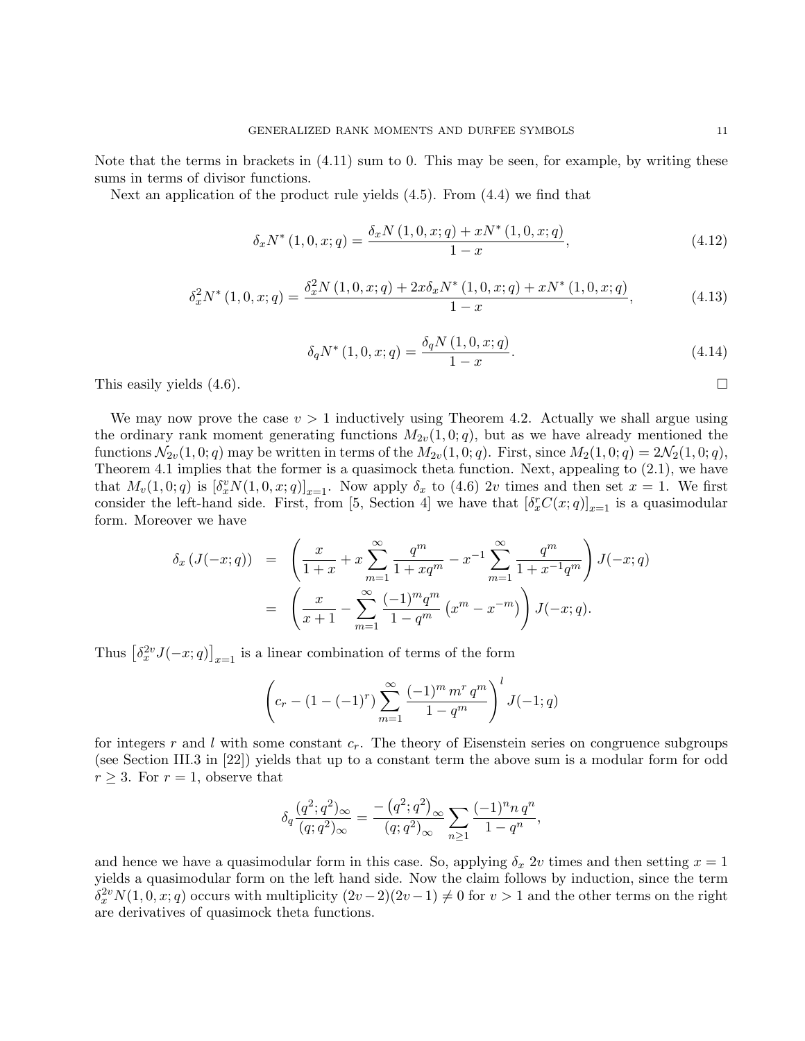Note that the terms in brackets in (4.11) sum to 0. This may be seen, for example, by writing these sums in terms of divisor functions.

Next an application of the product rule yields (4.5). From (4.4) we find that

$$
\delta_x N^*(1,0,x;q) = \frac{\delta_x N(1,0,x;q) + xN^*(1,0,x;q)}{1-x},\tag{4.12}
$$

$$
\delta_x^2 N^*(1,0,x;q) = \frac{\delta_x^2 N(1,0,x;q) + 2x \delta_x N^*(1,0,x;q) + x N^*(1,0,x;q)}{1-x},\tag{4.13}
$$

$$
\delta_q N^*(1,0,x;q) = \frac{\delta_q N(1,0,x;q)}{1-x}.
$$
\n(4.14)

This easily yields  $(4.6)$ .

We may now prove the case  $v > 1$  inductively using Theorem 4.2. Actually we shall argue using the ordinary rank moment generating functions  $M_{2v}(1, 0; q)$ , but as we have already mentioned the functions  $\mathcal{N}_{2v}(1,0;q)$  may be written in terms of the  $M_{2v}(1,0;q)$ . First, since  $M_2(1,0;q) = 2\mathcal{N}_2(1,0;q)$ , Theorem 4.1 implies that the former is a quasimock theta function. Next, appealing to (2.1), we have that  $M_v(1,0;q)$  is  $[\delta_x^v N(1,0,x;q)]_{x=1}$ . Now apply  $\delta_x$  to (4.6) 2v times and then set  $x=1$ . We first consider the left-hand side. First, from [5, Section 4] we have that  $[\delta_x^r C(x; q)]_{x=1}$  is a quasimodular form. Moreover we have

$$
\delta_x \left( J(-x;q) \right) = \left( \frac{x}{1+x} + x \sum_{m=1}^{\infty} \frac{q^m}{1+xq^m} - x^{-1} \sum_{m=1}^{\infty} \frac{q^m}{1+x^{-1}q^m} \right) J(-x;q)
$$

$$
= \left( \frac{x}{x+1} - \sum_{m=1}^{\infty} \frac{(-1)^m q^m}{1-q^m} \left( x^m - x^{-m} \right) \right) J(-x;q).
$$

Thus  $\left[\delta_x^{2v} J(-x; q)\right]_{x=1}$  is a linear combination of terms of the form

$$
\left(c_r - (1 - (-1)^r) \sum_{m=1}^{\infty} \frac{(-1)^m m^r q^m}{1 - q^m}\right)^l J(-1; q)
$$

for integers r and l with some constant  $c_r$ . The theory of Eisenstein series on congruence subgroups (see Section III.3 in [22]) yields that up to a constant term the above sum is a modular form for odd  $r \geq 3$ . For  $r = 1$ , observe that

$$
\delta_q \frac{(q^2;q^2)_{\infty}}{(q;q^2)_{\infty}} = \frac{-\left(q^2;q^2\right)_{\infty}}{(q;q^2)_{\infty}} \sum_{n \geq 1} \frac{(-1)^n n \, q^n}{1 - q^n},
$$

and hence we have a quasimodular form in this case. So, applying  $\delta_x$  2v times and then setting  $x = 1$ yields a quasimodular form on the left hand side. Now the claim follows by induction, since the term  $\delta_x^{2v} N(1,0,x;q)$  occurs with multiplicity  $(2v-2)(2v-1) \neq 0$  for  $v > 1$  and the other terms on the right are derivatives of quasimock theta functions.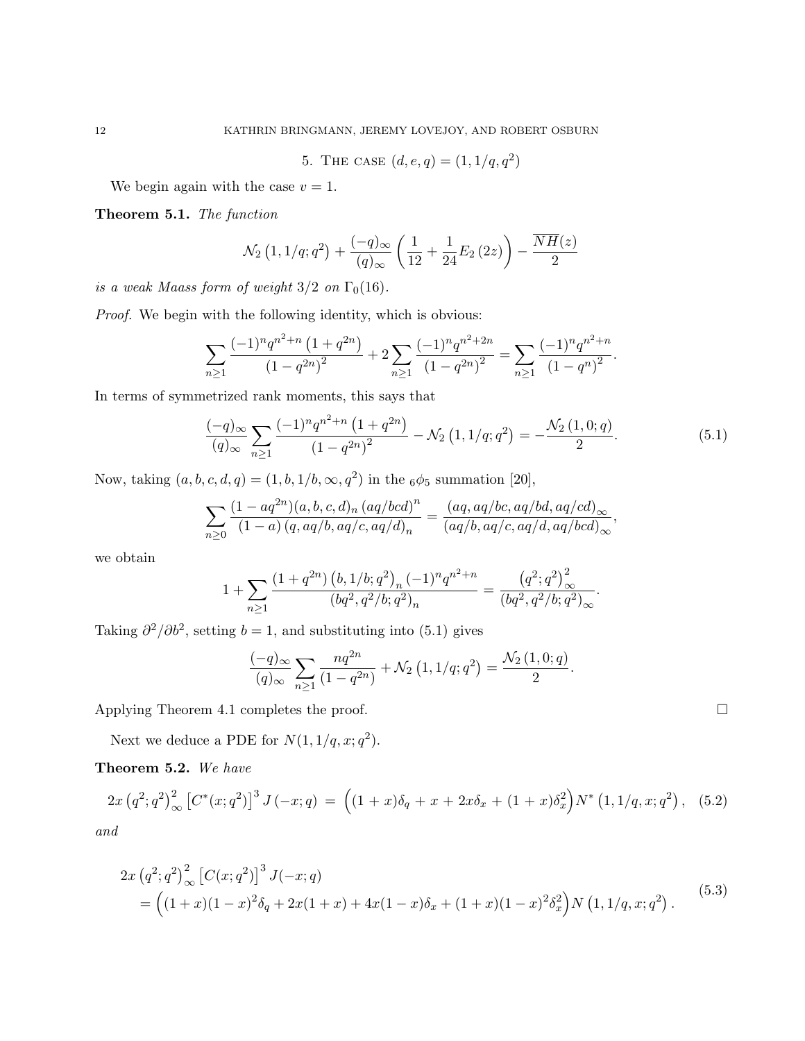5. THE CASE  $(d, e, q) = (1, 1/q, q^2)$ 

We begin again with the case  $v = 1$ .

Theorem 5.1. The function

$$
\mathcal{N}_2(1,1/q;q^2) + \frac{(-q)_{\infty}}{(q)_{\infty}} \left(\frac{1}{12} + \frac{1}{24}E_2(2z)\right) - \frac{\overline{NH}(z)}{2}
$$

is a weak Maass form of weight  $3/2$  on  $\Gamma_0(16)$ .

Proof. We begin with the following identity, which is obvious:

$$
\sum_{n\geq 1} \frac{(-1)^n q^{n^2+n} (1+q^{2n})}{(1-q^{2n})^2} + 2 \sum_{n\geq 1} \frac{(-1)^n q^{n^2+2n}}{(1-q^{2n})^2} = \sum_{n\geq 1} \frac{(-1)^n q^{n^2+n}}{(1-q^n)^2}.
$$

In terms of symmetrized rank moments, this says that

$$
\frac{(-q)_{\infty}}{(q)_{\infty}} \sum_{n\geq 1} \frac{(-1)^n q^{n^2+n} (1+q^{2n})}{(1-q^{2n})^2} - \mathcal{N}_2(1,1/q;q^2) = -\frac{\mathcal{N}_2(1,0;q)}{2}.
$$
 (5.1)

Now, taking  $(a, b, c, d, q) = (1, b, 1/b, \infty, q^2)$  in the  $_6\phi_5$  summation [20],

$$
\sum_{n\geq 0} \frac{(1-aq^{2n})(a,b,c,d)_n (aq/bcd)^n}{(1-a) (q,aq/b,aq/c,aq/d)_n} = \frac{(aq,aq/bc,aq/bd,aq/cd)_{\infty}}{(aq/b,aq/c,aq/d,aq/bcd)_{\infty}},
$$

we obtain

$$
1+\sum_{n\geq 1}\frac{\left(1+q^{2n}\right)\left(b,1/b;q^2\right)_n(-1)^n q^{n^2+n}}{\left(bq^2,q^2/b;q^2\right)_n}=\frac{\left(q^2;q^2\right)^2_{\infty}}{\left(bq^2,q^2/b;q^2\right)_{\infty}}.
$$

Taking  $\partial^2/\partial b^2$ , setting  $b=1$ , and substituting into (5.1) gives

$$
\frac{(-q)_{\infty}}{(q)_{\infty}} \sum_{n \ge 1} \frac{nq^{2n}}{(1-q^{2n})} + \mathcal{N}_2(1, 1/q; q^2) = \frac{\mathcal{N}_2(1, 0; q)}{2}.
$$

Applying Theorem 4.1 completes the proof.

Next we deduce a PDE for  $N(1, 1/q, x; q^2)$ .

Theorem 5.2. We have

$$
2x (q^2;q^2)_{\infty}^2 \left[C^*(x;q^2)\right]^3 J(-x;q) = \left((1+x)\delta_q + x + 2x\delta_x + (1+x)\delta_x^2\right) N^* (1,1/q,x;q^2), \quad (5.2)
$$
  
and

a<sub>a</sub>

$$
2x (q^2;q^2) \bigg|_{\infty}^2 \left[ C(x;q^2) \right]^3 J(-x;q)
$$
  
=  $\left( (1+x)(1-x)^2 \delta_q + 2x(1+x) + 4x(1-x) \delta_x + (1+x)(1-x)^2 \delta_x^2 \right) N (1,1/q,x;q^2).$  (5.3)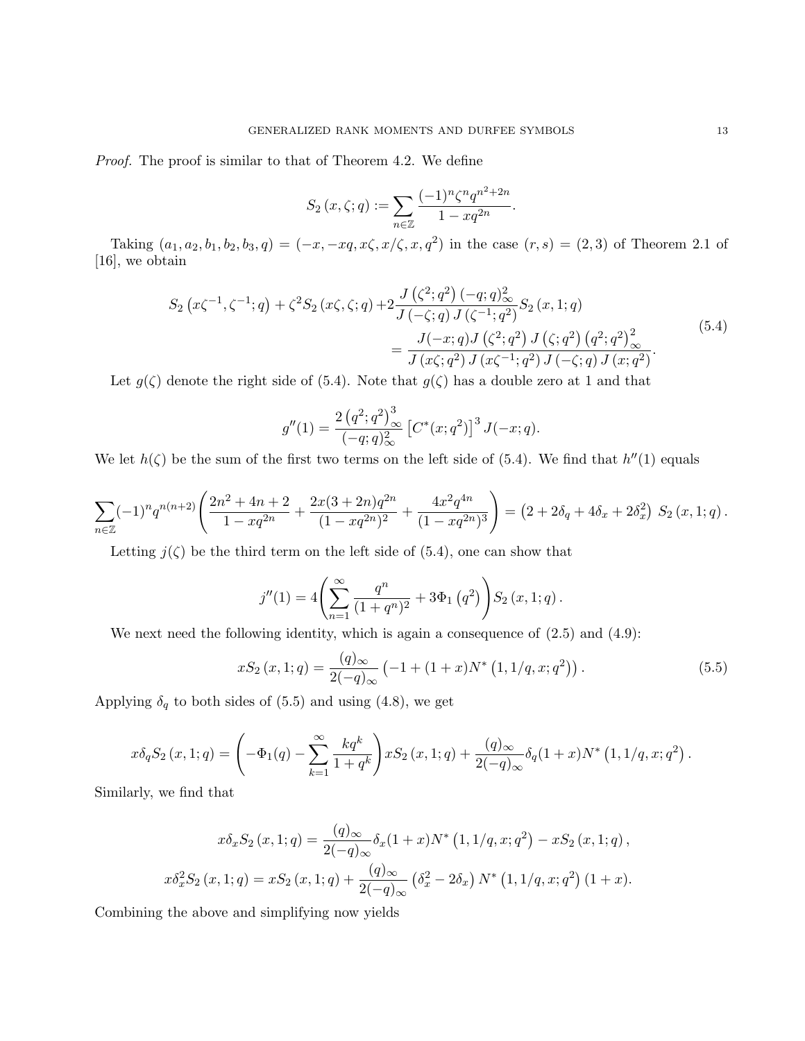Proof. The proof is similar to that of Theorem 4.2. We define

$$
S_2(x,\zeta;q) := \sum_{n \in \mathbb{Z}} \frac{(-1)^n \zeta^n q^{n^2 + 2n}}{1 - xq^{2n}}.
$$

Taking  $(a_1, a_2, b_1, b_2, b_3, q) = (-x, -xq, x\zeta, x/\zeta, x, q^2)$  in the case  $(r, s) = (2, 3)$  of Theorem 2.1 of [16], we obtain

$$
S_2(x\zeta^{-1}, \zeta^{-1}; q) + \zeta^2 S_2(x\zeta, \zeta; q) + 2 \frac{J(\zeta^2; q^2) (-q; q)_\infty^2}{J(-\zeta; q) J(\zeta^{-1}; q^2)} S_2(x, 1; q)
$$
  
= 
$$
\frac{J(-x; q) J(\zeta^2; q^2) J(\zeta; q^2) (q^2; q^2)_\infty^2}{J(x\zeta; q^2) J(x\zeta^{-1}; q^2) J(-\zeta; q) J(x; q^2)}.
$$
(5.4)

Let  $g(\zeta)$  denote the right side of (5.4). Note that  $g(\zeta)$  has a double zero at 1 and that

$$
g''(1) = \frac{2 (q^2; q^2)_{\infty}^3}{(-q; q)_{\infty}^2} \left[ C^*(x; q^2) \right]^3 J(-x; q).
$$

We let  $h(\zeta)$  be the sum of the first two terms on the left side of (5.4). We find that  $h''(1)$  equals

$$
\sum_{n\in\mathbb{Z}}(-1)^n q^{n(n+2)}\left(\frac{2n^2+4n+2}{1-xq^{2n}}+\frac{2x(3+2n)q^{2n}}{(1-xq^{2n})^2}+\frac{4x^2q^{4n}}{(1-xq^{2n})^3}\right)=(2+2\delta_q+4\delta_x+2\delta_x^2) S_2(x,1;q).
$$

Letting  $j(\zeta)$  be the third term on the left side of (5.4), one can show that

$$
j''(1) = 4\left(\sum_{n=1}^{\infty} \frac{q^n}{(1+q^n)^2} + 3\Phi_1(q^2)\right) S_2(x, 1; q).
$$

We next need the following identity, which is again a consequence of  $(2.5)$  and  $(4.9)$ :

$$
xS_2(x,1;q) = \frac{(q)_{\infty}}{2(-q)_{\infty}} \left( -1 + (1+x)N^* \left(1, 1/q, x; q^2 \right) \right). \tag{5.5}
$$

Applying  $\delta_q$  to both sides of (5.5) and using (4.8), we get

$$
x\delta_q S_2(x, 1; q) = \left(-\Phi_1(q) - \sum_{k=1}^{\infty} \frac{kq^k}{1+q^k}\right) xS_2(x, 1; q) + \frac{(q)_{\infty}}{2(-q)_{\infty}} \delta_q(1+x)N^* (1, 1/q, x; q^2).
$$

Similarly, we find that

$$
x\delta_x S_2(x, 1; q) = \frac{(q)_{\infty}}{2(-q)_{\infty}} \delta_x (1+x) N^* (1, 1/q, x; q^2) - xS_2(x, 1; q),
$$
  

$$
x\delta_x^2 S_2(x, 1; q) = xS_2(x, 1; q) + \frac{(q)_{\infty}}{2(-q)_{\infty}} (\delta_x^2 - 2\delta_x) N^* (1, 1/q, x; q^2) (1+x).
$$

Combining the above and simplifying now yields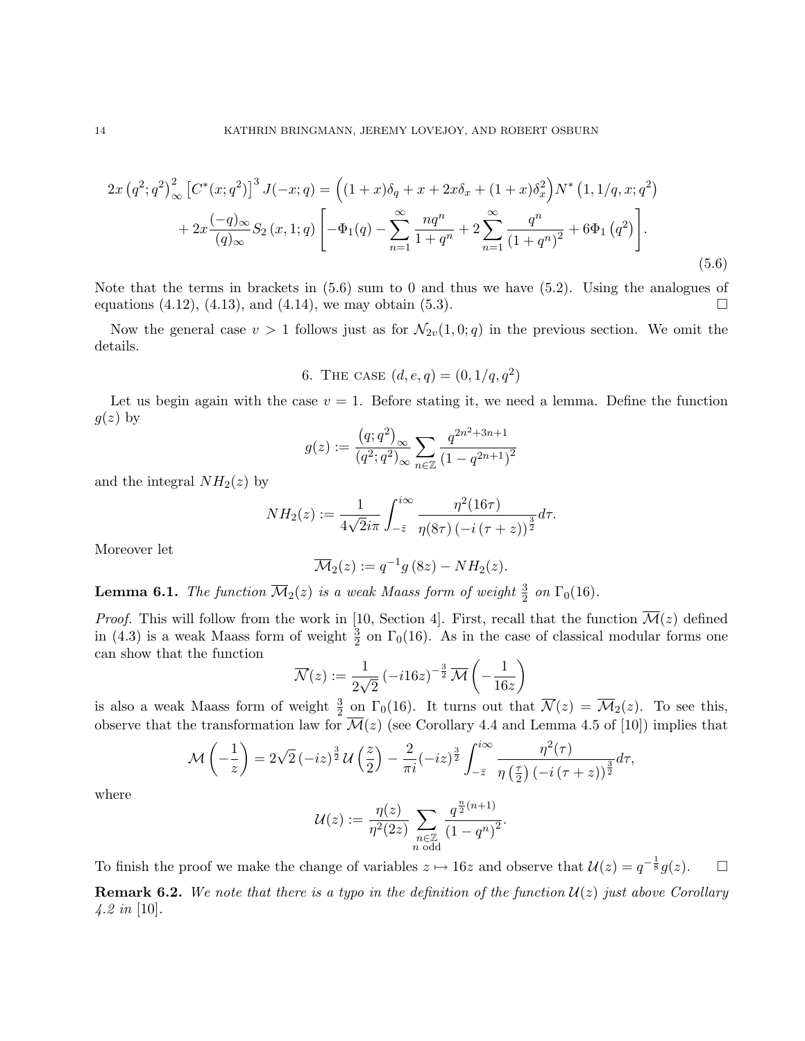$$
2x (q^2; q^2)_{\infty}^2 \left[ C^*(x; q^2) \right]^3 J(-x; q) = \left( (1+x)\delta_q + x + 2x\delta_x + (1+x)\delta_x^2 \right) N^* (1, 1/q, x; q^2)
$$
  
+ 
$$
2x \frac{(-q)_{\infty}}{(q)_{\infty}} S_2 (x, 1; q) \left[ -\Phi_1(q) - \sum_{n=1}^{\infty} \frac{nq^n}{1+q^n} + 2 \sum_{n=1}^{\infty} \frac{q^n}{(1+q^n)^2} + 6\Phi_1 (q^2) \right].
$$
  
(5.6)

Note that the terms in brackets in  $(5.6)$  sum to 0 and thus we have  $(5.2)$ . Using the analogues of equations  $(4.12)$ ,  $(4.13)$ , and  $(4.14)$ , we may obtain  $(5.3)$ .

Now the general case  $v > 1$  follows just as for  $\mathcal{N}_{2v}(1, 0; q)$  in the previous section. We omit the details.

6. THE CASE 
$$
(d, e, q) = (0, 1/q, q^2)
$$

Let us begin again with the case  $v = 1$ . Before stating it, we need a lemma. Define the function  $g(z)$  by

$$
g(z) := \frac{(q;q^2)_{\infty}}{(q^2;q^2)_{\infty}} \sum_{n \in \mathbb{Z}} \frac{q^{2n^2+3n+1}}{(1-q^{2n+1})^2}
$$

and the integral  $NH<sub>2</sub>(z)$  by

$$
NH_2(z) := \frac{1}{4\sqrt{2}i\pi} \int_{-\bar{z}}^{i\infty} \frac{\eta^2(16\tau)}{\eta(8\tau) (-i(\tau+z))^{\frac{3}{2}}} d\tau.
$$

Moreover let

$$
\overline{\mathcal{M}}_2(z) := q^{-1}g(8z) - NH_2(z).
$$

**Lemma 6.1.** The function  $\overline{\mathcal{M}}_2(z)$  is a weak Maass form of weight  $\frac{3}{2}$  on  $\Gamma_0(16)$ .

*Proof.* This will follow from the work in [10, Section 4]. First, recall that the function  $\overline{\mathcal{M}}(z)$  defined in (4.3) is a weak Maass form of weight  $\frac{3}{2}$  on  $\Gamma_0(16)$ . As in the case of classical modular forms one can show that the function

$$
\overline{\mathcal{N}}(z) := \frac{1}{2\sqrt{2}} \left( -i16z \right)^{-\frac{3}{2}} \overline{\mathcal{M}} \left( -\frac{1}{16z} \right)
$$

is also a weak Maass form of weight  $\frac{3}{2}$  on  $\Gamma_0(16)$ . It turns out that  $\overline{\mathcal{N}}(z) = \overline{\mathcal{M}}_2(z)$ . To see this, observe that the transformation law for  $\overline{\mathcal{M}}(z)$  (see Corollary 4.4 and Lemma 4.5 of [10]) implies that

$$
\mathcal{M}\left(-\frac{1}{z}\right) = 2\sqrt{2}\left(-iz\right)^{\frac{3}{2}}\mathcal{U}\left(\frac{z}{2}\right) - \frac{2}{\pi i}\left(-iz\right)^{\frac{3}{2}}\int_{-\overline{z}}^{i\infty}\frac{\eta^2(\tau)}{\eta\left(\frac{\tau}{2}\right)\left(-i\left(\tau+z\right)\right)^{\frac{3}{2}}}d\tau,
$$

where

$$
\mathcal{U}(z) := \frac{\eta(z)}{\eta^2(2z)} \sum_{\substack{n \in \mathbb{Z} \\ n \text{ odd}}} \frac{q^{\frac{n}{2}(n+1)}}{(1-q^n)^2}.
$$

To finish the proof we make the change of variables  $z \mapsto 16z$  and observe that  $\mathcal{U}(z) = q^{-\frac{1}{8}}g(z)$ .  $\Box$ **Remark 6.2.** We note that there is a typo in the definition of the function  $\mathcal{U}(z)$  just above Corollary  $4.2 \text{ in } [10]$ .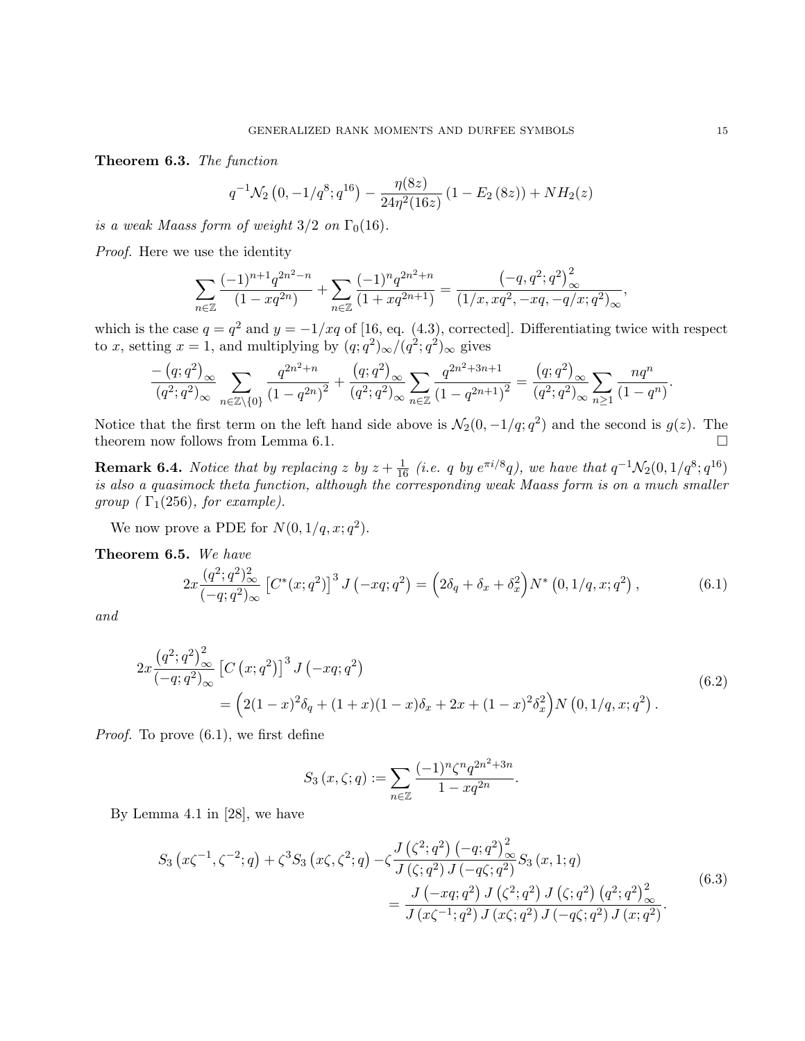Theorem 6.3. The function

$$
q^{-1}\mathcal{N}_2(0, -1/q^8; q^{16}) - \frac{\eta(8z)}{24\eta^2(16z)}(1 - E_2(8z)) + NH_2(z)
$$

is a weak Maass form of weight  $3/2$  on  $\Gamma_0(16)$ .

Proof. Here we use the identity

$$
\sum_{n\in\mathbb{Z}}\frac{(-1)^{n+1}q^{2n^2-n}}{(1-xq^{2n})}+\sum_{n\in\mathbb{Z}}\frac{(-1)^nq^{2n^2+n}}{(1+xq^{2n+1})}=\frac{(-q,q^2;q^2)_{\infty}^2}{(1/x,xq^2,-xq,-q/x;q^2)_{\infty}},
$$

which is the case  $q = q^2$  and  $y = -1/xq$  of [16, eq. (4.3), corrected]. Differentiating twice with respect to x, setting  $x = 1$ , and multiplying by  $(q, q^2)_{\infty}/(q^2, q^2)_{\infty}$  gives

$$
\frac{- (q;q^2)_{\infty}}{(q^2;q^2)_{\infty}} \sum_{n \in \mathbb{Z} \setminus \{0\}} \frac{q^{2n^2+n}}{(1-q^{2n})^2} + \frac{(q;q^2)_{\infty}}{(q^2;q^2)_{\infty}} \sum_{n \in \mathbb{Z}} \frac{q^{2n^2+3n+1}}{(1-q^{2n+1})^2} = \frac{(q;q^2)_{\infty}}{(q^2;q^2)_{\infty}} \sum_{n \ge 1} \frac{nq^n}{(1-q^n)}.
$$

Notice that the first term on the left hand side above is  $\mathcal{N}_2(0, -1/q; q^2)$  and the second is  $g(z)$ . The theorem now follows from Lemma 6.1.  $\Box$ 

**Remark 6.4.** Notice that by replacing z by  $z + \frac{1}{16}$  (i.e. q by  $e^{\pi i/8}q$ ), we have that  $q^{-1}\mathcal{N}_2(0, 1/q^8; q^{16})$ is also a quasimock theta function, although the corresponding weak Maass form is on a much smaller group ( $\Gamma_1(256)$ , for example).

We now prove a PDE for  $N(0, 1/q, x; q^2)$ .

Theorem 6.5. We have

$$
2x\frac{(q^2;q^2)_{\infty}^2}{(-q;q^2)_{\infty}}\left[C^*(x;q^2)\right]^3 J\left(-xq;q^2\right) = \left(2\delta_q + \delta_x + \delta_x^2\right)N^*\left(0,1/q,x;q^2\right),\tag{6.1}
$$

and

$$
2x \frac{(q^2;q^2)_{\infty}^2}{(-q;q^2)_{\infty}} \left[ C(x;q^2) \right]^3 J(-xq;q^2)
$$
  
= 
$$
\left( 2(1-x)^2 \delta_q + (1+x)(1-x)\delta_x + 2x + (1-x)^2 \delta_x^2 \right) N(0,1/q,x;q^2).
$$
 (6.2)

Proof. To prove (6.1), we first define

$$
S_3(x,\zeta;q) := \sum_{n \in \mathbb{Z}} \frac{(-1)^n \zeta^n q^{2n^2 + 3n}}{1 - xq^{2n}}.
$$

By Lemma 4.1 in [28], we have

$$
S_3(x\zeta^{-1}, \zeta^{-2}; q) + \zeta^3 S_3(x\zeta, \zeta^2; q) - \zeta \frac{J(\zeta^2; q^2) (-q; q^2)_{\infty}^2}{J(\zeta; q^2) J(-q\zeta; q^2)} S_3(x, 1; q)
$$
  
= 
$$
\frac{J(-xq; q^2) J(\zeta^2; q^2) J(\zeta; q^2) (q^2; q^2)_{\infty}^2}{J(x\zeta^{-1}; q^2) J(x\zeta; q^2) J(-q\zeta; q^2) J(x; q^2)}.
$$
(6.3)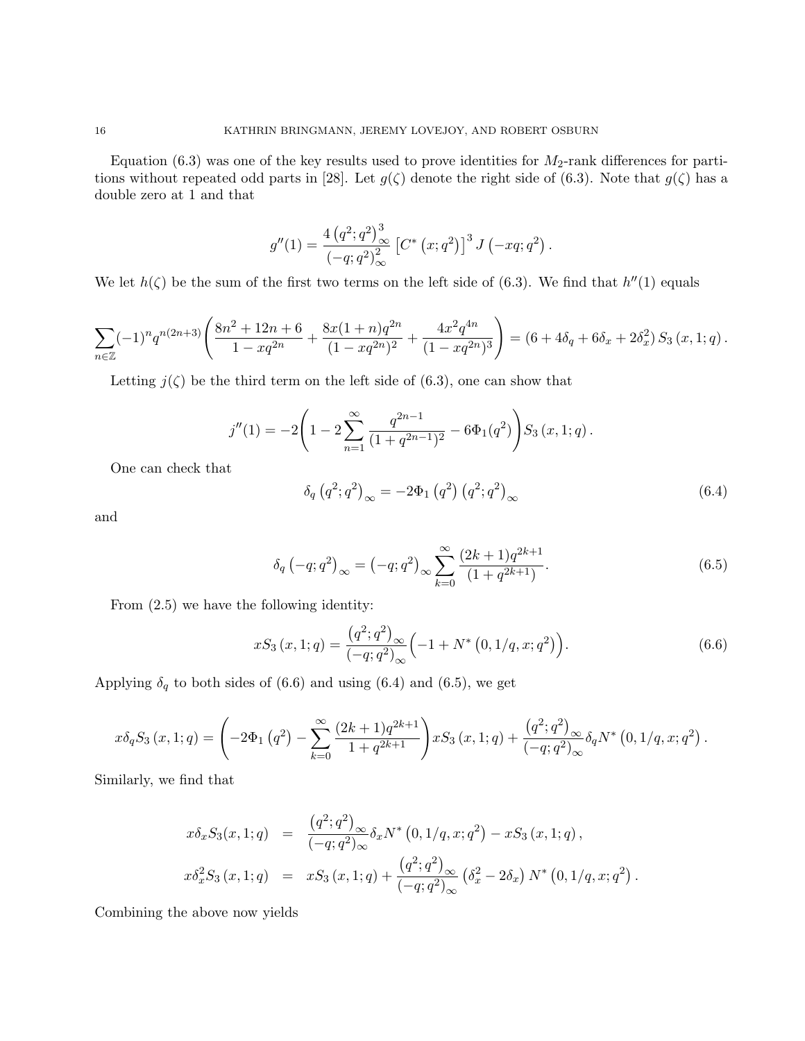Equation (6.3) was one of the key results used to prove identities for  $M_2$ -rank differences for partitions without repeated odd parts in [28]. Let  $g(\zeta)$  denote the right side of (6.3). Note that  $g(\zeta)$  has a double zero at 1 and that

$$
g''(1) = \frac{4 (q^2;q^2)^3_{\infty}}{(-q;q^2)^2_{\infty}} [C^* (x;q^2)]^3 J (-xq;q^2) .
$$

We let  $h(\zeta)$  be the sum of the first two terms on the left side of (6.3). We find that  $h''(1)$  equals

$$
\sum_{n\in\mathbb{Z}}(-1)^n q^{n(2n+3)}\left(\frac{8n^2+12n+6}{1-xq^{2n}}+\frac{8x(1+n)q^{2n}}{(1-xq^{2n})^2}+\frac{4x^2q^{4n}}{(1-xq^{2n})^3}\right)=(6+4\delta_q+6\delta_x+2\delta_x^2) S_3(x,1;q).
$$

Letting  $j(\zeta)$  be the third term on the left side of (6.3), one can show that

$$
j''(1) = -2\left(1 - 2\sum_{n=1}^{\infty} \frac{q^{2n-1}}{(1+q^{2n-1})^2} - 6\Phi_1(q^2)\right) S_3(x, 1; q).
$$

One can check that

$$
\delta_q (q^2; q^2)_{\infty} = -2\Phi_1 (q^2) (q^2; q^2)_{\infty}
$$
\n(6.4)

and

$$
\delta_q(-q;q^2)_{\infty} = (-q;q^2)_{\infty} \sum_{k=0}^{\infty} \frac{(2k+1)q^{2k+1}}{(1+q^{2k+1})}.
$$
\n(6.5)

From (2.5) we have the following identity:

$$
xS_3(x,1;q) = \frac{(q^2;q^2)_{\infty}}{(-q;q^2)_{\infty}} \left(-1 + N^* (0,1/q,x;q^2)\right).
$$
 (6.6)

Applying  $\delta_q$  to both sides of (6.6) and using (6.4) and (6.5), we get

$$
x\delta_q S_3(x,1;q) = \left(-2\Phi_1(q^2) - \sum_{k=0}^{\infty} \frac{(2k+1)q^{2k+1}}{1+q^{2k+1}}\right) xS_3(x,1;q) + \frac{(q^2;q^2)_{\infty}}{(-q;q^2)_{\infty}} \delta_q N^* (0,1/q,x;q^2).
$$

Similarly, we find that

$$
x\delta_x S_3(x, 1; q) = \frac{(q^2; q^2)_{\infty}}{(-q; q^2)_{\infty}} \delta_x N^* (0, 1/q, x; q^2) - xS_3 (x, 1; q),
$$
  

$$
x\delta_x^2 S_3 (x, 1; q) = xS_3 (x, 1; q) + \frac{(q^2; q^2)_{\infty}}{(-q; q^2)_{\infty}} (\delta_x^2 - 2\delta_x) N^* (0, 1/q, x; q^2).
$$

Combining the above now yields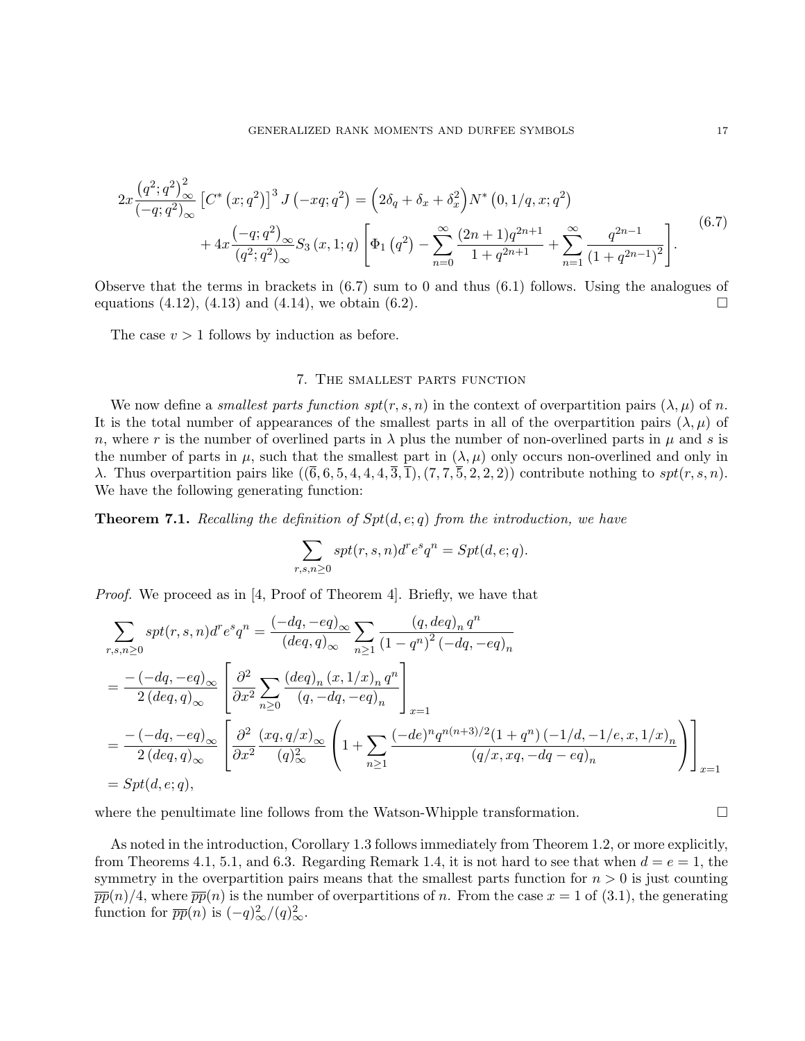$$
2x\frac{(q^2;q^2)_{\infty}^2}{(-q;q^2)_{\infty}} \left[C^*\left(x;q^2\right)\right]^3 J\left(-xq;q^2\right) = \left(2\delta_q + \delta_x + \delta_x^2\right) N^*\left(0,1/q,x;q^2\right) + 4x\frac{(-q;q^2)_{\infty}}{(q^2;q^2)_{\infty}} S_3\left(x,1;q\right) \left[\Phi_1\left(q^2\right) - \sum_{n=0}^{\infty} \frac{(2n+1)q^{2n+1}}{1+q^{2n+1}} + \sum_{n=1}^{\infty} \frac{q^{2n-1}}{(1+q^{2n-1})^2}\right].
$$
\n
$$
(6.7)
$$

Observe that the terms in brackets in (6.7) sum to 0 and thus (6.1) follows. Using the analogues of equations (4.12), (4.13) and (4.14), we obtain (6.2).

The case  $v > 1$  follows by induction as before.

### 7. The smallest parts function

We now define a *smallest parts function spt(r, s, n)* in the context of overpartition pairs  $(\lambda, \mu)$  of n. It is the total number of appearances of the smallest parts in all of the overpartition pairs  $(\lambda, \mu)$  of n, where r is the number of overlined parts in  $\lambda$  plus the number of non-overlined parts in  $\mu$  and s is the number of parts in  $\mu$ , such that the smallest part in  $(\lambda, \mu)$  only occurs non-overlined and only in λ. Thus overpartition pairs like  $((\overline{6},6,5,4,4,4,\overline{3},\overline{1}),(7,7,\overline{5},2,2,2))$  contribute nothing to spt $(r, s, n)$ . We have the following generating function:

**Theorem 7.1.** Recalling the definition of  $Spt(d, e; q)$  from the introduction, we have

$$
\sum_{r,s,n\geq 0} spt(r,s,n)d^re^sq^n=Spt(d,e;q).
$$

Proof. We proceed as in [4, Proof of Theorem 4]. Briefly, we have that

$$
\sum_{r,s,n\geq 0} spt(r,s,n)d^{r}e^{s}q^{n} = \frac{(-dq,-eq)_{\infty}}{(deq,q)_{\infty}} \sum_{n\geq 1} \frac{(q,deq)_{n} q^{n}}{(1-q^{n})^{2}(-dq,-eq)_{n}}
$$
\n
$$
= \frac{-(-dq,-eq)_{\infty}}{2(deq,q)_{\infty}} \left[ \frac{\partial^{2}}{\partial x^{2}} \sum_{n\geq 0} \frac{(deq)_{n}(x,1/x)_{n} q^{n}}{(q,-dq,-eq)_{n}} \right]_{x=1}
$$
\n
$$
= \frac{-(-dq,-eq)_{\infty}}{2(deq,q)_{\infty}} \left[ \frac{\partial^{2}}{\partial x^{2}} \frac{(xq,q/x)_{\infty}}{(q)_{\infty}^{2}} \left(1+\sum_{n\geq 1} \frac{(-de)^{n} q^{n(n+3)/2} (1+q^{n}) (-1/d,-1/e,x,1/x)_{n}}{(q/x,xq,-dq-eq)_{n}} \right) \right]_{x=1}
$$
\n
$$
= Spt(d,e;q),
$$

where the penultimate line follows from the Watson-Whipple transformation.  $\Box$ 

As noted in the introduction, Corollary 1.3 follows immediately from Theorem 1.2, or more explicitly, from Theorems 4.1, 5.1, and 6.3. Regarding Remark 1.4, it is not hard to see that when  $d = e = 1$ , the symmetry in the overpartition pairs means that the smallest parts function for  $n > 0$  is just counting  $\overline{pp}(n)/4$ , where  $\overline{pp}(n)$  is the number of overpartitions of n. From the case  $x = 1$  of (3.1), the generating function for  $\overline{pp}(n)$  is  $(-q)_{\infty}^2/(q)_{\infty}^2$ .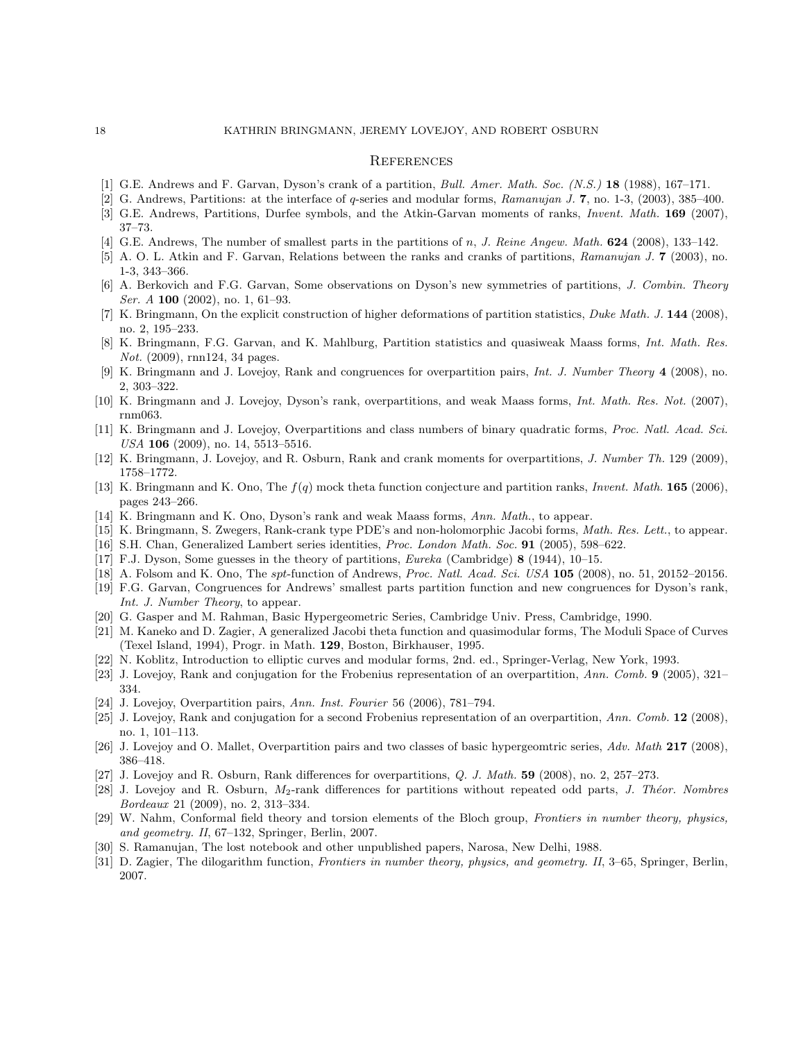#### **REFERENCES**

- [1] G.E. Andrews and F. Garvan, Dyson's crank of a partition, Bull. Amer. Math. Soc. (N.S.) 18 (1988), 167–171.
- [2] G. Andrews, Partitions: at the interface of q-series and modular forms, Ramanujan J. 7, no. 1-3, (2003), 385–400.
- [3] G.E. Andrews, Partitions, Durfee symbols, and the Atkin-Garvan moments of ranks, Invent. Math. 169 (2007), 37–73.
- G.E. Andrews, The number of smallest parts in the partitions of n, J. Reine Angew. Math. 624 (2008), 133-142.
- [5] A. O. L. Atkin and F. Garvan, Relations between the ranks and cranks of partitions, Ramanujan J. 7 (2003), no. 1-3, 343–366.
- [6] A. Berkovich and F.G. Garvan, Some observations on Dyson's new symmetries of partitions, J. Combin. Theory *Ser. A* **100** (2002), no. 1, 61–93.
- [7] K. Bringmann, On the explicit construction of higher deformations of partition statistics, Duke Math. J. 144 (2008), no. 2, 195–233.
- [8] K. Bringmann, F.G. Garvan, and K. Mahlburg, Partition statistics and quasiweak Maass forms, Int. Math. Res. Not. (2009), rnn124, 34 pages.
- [9] K. Bringmann and J. Lovejoy, Rank and congruences for overpartition pairs, Int. J. Number Theory 4 (2008), no. 2, 303–322.
- [10] K. Bringmann and J. Lovejoy, Dyson's rank, overpartitions, and weak Maass forms, Int. Math. Res. Not. (2007), rnm063.
- [11] K. Bringmann and J. Lovejoy, Overpartitions and class numbers of binary quadratic forms, Proc. Natl. Acad. Sci. USA 106 (2009), no. 14, 5513–5516.
- [12] K. Bringmann, J. Lovejoy, and R. Osburn, Rank and crank moments for overpartitions, J. Number Th. 129 (2009), 1758–1772.
- [13] K. Bringmann and K. Ono, The  $f(q)$  mock theta function conjecture and partition ranks, *Invent. Math.* **165** (2006), pages 243–266.
- [14] K. Bringmann and K. Ono, Dyson's rank and weak Maass forms, Ann. Math., to appear.
- [15] K. Bringmann, S. Zwegers, Rank-crank type PDE's and non-holomorphic Jacobi forms, Math. Res. Lett., to appear.
- [16] S.H. Chan, Generalized Lambert series identities, Proc. London Math. Soc. 91 (2005), 598–622.
- [17] F.J. Dyson, Some guesses in the theory of partitions, Eureka (Cambridge) 8 (1944), 10–15.
- [18] A. Folsom and K. Ono, The spt-function of Andrews, Proc. Natl. Acad. Sci. USA 105 (2008), no. 51, 20152–20156.
- [19] F.G. Garvan, Congruences for Andrews' smallest parts partition function and new congruences for Dyson's rank, Int. J. Number Theory, to appear.
- [20] G. Gasper and M. Rahman, Basic Hypergeometric Series, Cambridge Univ. Press, Cambridge, 1990.
- [21] M. Kaneko and D. Zagier, A generalized Jacobi theta function and quasimodular forms, The Moduli Space of Curves (Texel Island, 1994), Progr. in Math. 129, Boston, Birkhauser, 1995.
- [22] N. Koblitz, Introduction to elliptic curves and modular forms, 2nd. ed., Springer-Verlag, New York, 1993.
- [23] J. Lovejoy, Rank and conjugation for the Frobenius representation of an overpartition, Ann. Comb. 9 (2005), 321– 334.
- [24] J. Lovejoy, Overpartition pairs, Ann. Inst. Fourier 56 (2006), 781–794.
- [25] J. Lovejoy, Rank and conjugation for a second Frobenius representation of an overpartition, Ann. Comb. 12 (2008), no. 1, 101–113.
- [26] J. Lovejoy and O. Mallet, Overpartition pairs and two classes of basic hypergeomtric series, Adv. Math 217 (2008), 386–418.
- [27] J. Lovejoy and R. Osburn, Rank differences for overpartitions, Q. J. Math. 59 (2008), no. 2, 257–273.
- [28] J. Lovejoy and R. Osburn,  $M_2$ -rank differences for partitions without repeated odd parts, J. Théor. Nombres Bordeaux 21 (2009), no. 2, 313–334.
- [29] W. Nahm, Conformal field theory and torsion elements of the Bloch group, Frontiers in number theory, physics, and geometry. II, 67–132, Springer, Berlin, 2007.
- [30] S. Ramanujan, The lost notebook and other unpublished papers, Narosa, New Delhi, 1988.
- [31] D. Zagier, The dilogarithm function, Frontiers in number theory, physics, and geometry. II, 3–65, Springer, Berlin, 2007.